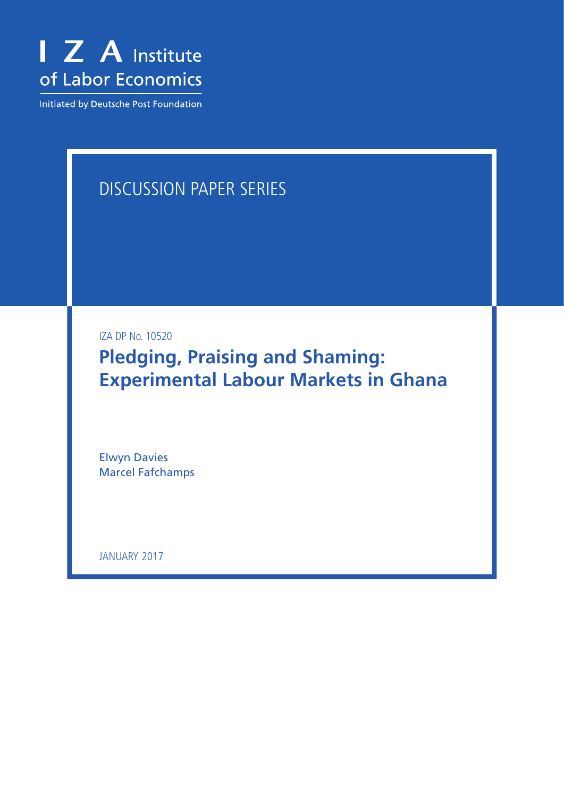

Initiated by Deutsche Post Foundation

# Discussion Paper Series

IZA DP No. 10520

**Pledging, Praising and Shaming: Experimental Labour Markets in Ghana**

Elwyn Davies Marcel Fafchamps

january 2017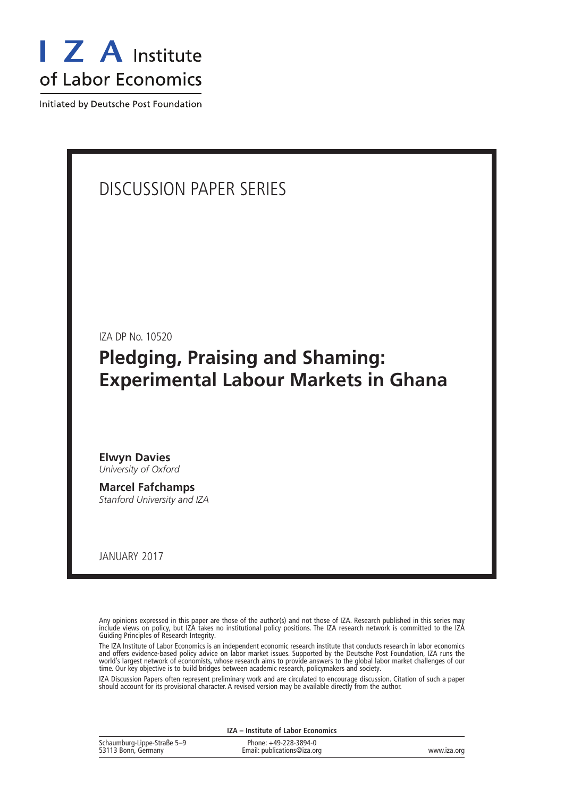

Initiated by Deutsche Post Foundation

# Discussion Paper Series

IZA DP No. 10520

**Pledging, Praising and Shaming: Experimental Labour Markets in Ghana**

**Elwyn Davies** *University of Oxford*

**Marcel Fafchamps** *Stanford University and IZA*

january 2017

Any opinions expressed in this paper are those of the author(s) and not those of IZA. Research published in this series may include views on policy, but IZA takes no institutional policy positions. The IZA research network is committed to the IZA Guiding Principles of Research Integrity.

The IZA Institute of Labor Economics is an independent economic research institute that conducts research in labor economics and offers evidence-based policy advice on labor market issues. Supported by the Deutsche Post Foundation, IZA runs the world's largest network of economists, whose research aims to provide answers to the global labor market challenges of our time. Our key objective is to build bridges between academic research, policymakers and society.

IZA Discussion Papers often represent preliminary work and are circulated to encourage discussion. Citation of such a paper should account for its provisional character. A revised version may be available directly from the author.

| IZA - Institute of Labor Economics                 |                                                      |             |  |  |  |  |  |
|----------------------------------------------------|------------------------------------------------------|-------------|--|--|--|--|--|
| Schaumburg-Lippe-Straße 5–9<br>53113 Bonn, Germany | Phone: +49-228-3894-0<br>Email: publications@iza.org | www.iza.org |  |  |  |  |  |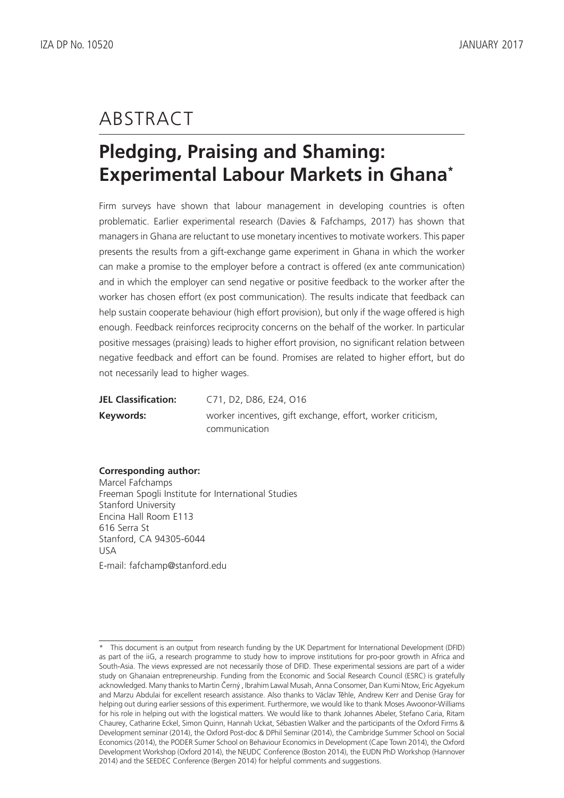# **ABSTRACT**

# **Pledging, Praising and Shaming: Experimental Labour Markets in Ghana\***

Firm surveys have shown that labour management in developing countries is often problematic. Earlier experimental research (Davies & Fafchamps, 2017) has shown that managers in Ghana are reluctant to use monetary incentives to motivate workers. This paper presents the results from a gift-exchange game experiment in Ghana in which the worker can make a promise to the employer before a contract is offered (ex ante communication) and in which the employer can send negative or positive feedback to the worker after the worker has chosen effort (ex post communication). The results indicate that feedback can help sustain cooperate behaviour (high effort provision), but only if the wage offered is high enough. Feedback reinforces reciprocity concerns on the behalf of the worker. In particular positive messages (praising) leads to higher effort provision, no significant relation between negative feedback and effort can be found. Promises are related to higher effort, but do not necessarily lead to higher wages.

| <b>JEL Classification:</b> | C71, D2, D86, E24, O16                                      |
|----------------------------|-------------------------------------------------------------|
| Keywords:                  | worker incentives, gift exchange, effort, worker criticism, |
|                            | communication                                               |

## **Corresponding author:**

Marcel Fafchamps Freeman Spogli Institute for International Studies Stanford University Encina Hall Room E113 616 Serra St Stanford, CA 94305-6044 USA E-mail: fafchamp@stanford.edu

<sup>\*</sup> This document is an output from research funding by the UK Department for International Development (DFID) as part of the iiG, a research programme to study how to improve institutions for pro-poor growth in Africa and South-Asia. The views expressed are not necessarily those of DFID. These experimental sessions are part of a wider study on Ghanaian entrepreneurship. Funding from the Economic and Social Research Council (ESRC) is gratefully acknowledged. Many thanks to Martin Černý , Ibrahim Lawal Musah, Anna Consomer, Dan Kumi Ntow, Eric Agyekum and Marzu Abdulai for excellent research assistance. Also thanks to Václav Těhle, Andrew Kerr and Denise Gray for helping out during earlier sessions of this experiment. Furthermore, we would like to thank Moses Awoonor-Williams for his role in helping out with the logistical matters. We would like to thank Johannes Abeler, Stefano Caria, Ritam Chaurey, Catharine Eckel, Simon Quinn, Hannah Uckat, Sébastien Walker and the participants of the Oxford Firms & Development seminar (2014), the Oxford Post-doc & DPhil Seminar (2014), the Cambridge Summer School on Social Economics (2014), the PODER Sumer School on Behaviour Economics in Development (Cape Town 2014), the Oxford Development Workshop (Oxford 2014), the NEUDC Conference (Boston 2014), the EUDN PhD Workshop (Hannover 2014) and the SEEDEC Conference (Bergen 2014) for helpful comments and suggestions.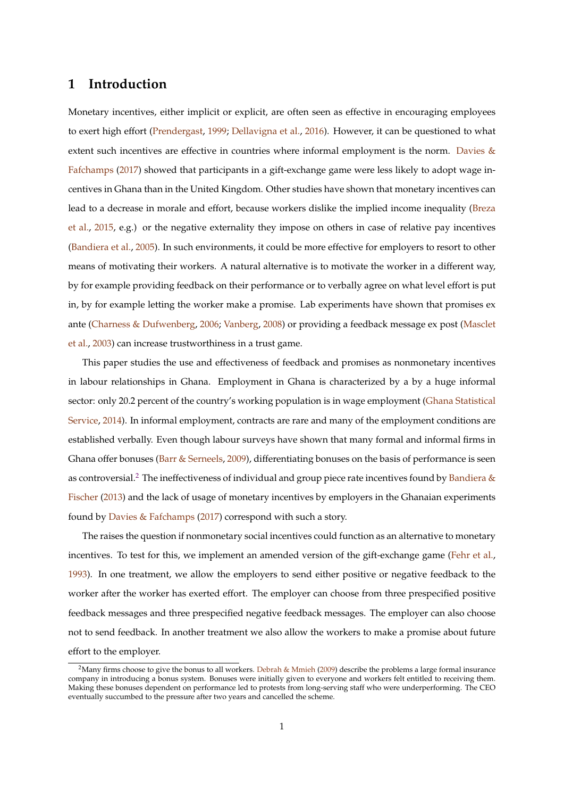# **1 Introduction**

Monetary incentives, either implicit or explicit, are often seen as effective in encouraging employees to exert high effort [\(Prendergast,](#page-23-0) [1999;](#page-23-0) [Dellavigna et al.,](#page-22-0) [2016\)](#page-22-0). However, it can be questioned to what extent such incentives are effective in countries where informal employment is the norm. [Davies &](#page-22-1) [Fafchamps](#page-22-1) [\(2017\)](#page-22-1) showed that participants in a gift-exchange game were less likely to adopt wage incentives in Ghana than in the United Kingdom. Other studies have shown that monetary incentives can lead to a decrease in morale and effort, because workers dislike the implied income inequality [\(Breza](#page-22-2) [et al.,](#page-22-2) [2015,](#page-22-2) e.g.) or the negative externality they impose on others in case of relative pay incentives [\(Bandiera et al.,](#page-22-3) [2005\)](#page-22-3). In such environments, it could be more effective for employers to resort to other means of motivating their workers. A natural alternative is to motivate the worker in a different way, by for example providing feedback on their performance or to verbally agree on what level effort is put in, by for example letting the worker make a promise. Lab experiments have shown that promises ex ante [\(Charness & Dufwenberg,](#page-22-4) [2006;](#page-22-4) [Vanberg,](#page-23-1) [2008\)](#page-23-1) or providing a feedback message ex post [\(Masclet](#page-23-2) [et al.,](#page-23-2) [2003\)](#page-23-2) can increase trustworthiness in a trust game.

This paper studies the use and effectiveness of feedback and promises as nonmonetary incentives in labour relationships in Ghana. Employment in Ghana is characterized by a by a huge informal sector: only 20.2 percent of the country's working population is in wage employment [\(Ghana Statistical](#page-23-3) [Service,](#page-23-3) [2014\)](#page-23-3). In informal employment, contracts are rare and many of the employment conditions are established verbally. Even though labour surveys have shown that many formal and informal firms in Ghana offer bonuses [\(Barr & Serneels,](#page-22-5) [2009\)](#page-22-5), differentiating bonuses on the basis of performance is seen as controversial.<sup>[2](#page-3-0)</sup> The ineffectiveness of individual and group piece rate incentives found by [Bandiera &](#page-22-6) [Fischer](#page-22-6) [\(2013\)](#page-22-6) and the lack of usage of monetary incentives by employers in the Ghanaian experiments found by [Davies & Fafchamps](#page-22-1) [\(2017\)](#page-22-1) correspond with such a story.

The raises the question if nonmonetary social incentives could function as an alternative to monetary incentives. To test for this, we implement an amended version of the gift-exchange game [\(Fehr et al.,](#page-23-4) [1993\)](#page-23-4). In one treatment, we allow the employers to send either positive or negative feedback to the worker after the worker has exerted effort. The employer can choose from three prespecified positive feedback messages and three prespecified negative feedback messages. The employer can also choose not to send feedback. In another treatment we also allow the workers to make a promise about future effort to the employer.

<span id="page-3-0"></span><sup>&</sup>lt;sup>2</sup>Many firms choose to give the bonus to all workers. [Debrah & Mmieh](#page-22-7) [\(2009\)](#page-22-7) describe the problems a large formal insurance company in introducing a bonus system. Bonuses were initially given to everyone and workers felt entitled to receiving them. Making these bonuses dependent on performance led to protests from long-serving staff who were underperforming. The CEO eventually succumbed to the pressure after two years and cancelled the scheme.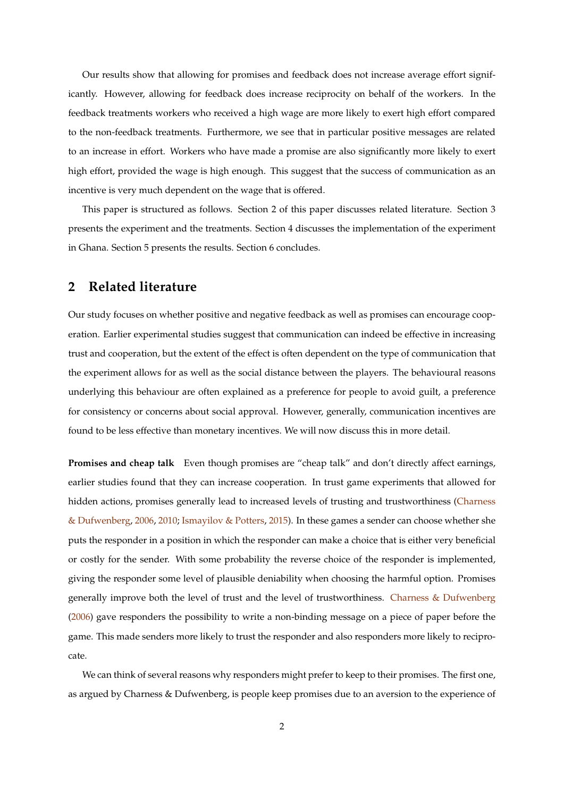Our results show that allowing for promises and feedback does not increase average effort significantly. However, allowing for feedback does increase reciprocity on behalf of the workers. In the feedback treatments workers who received a high wage are more likely to exert high effort compared to the non-feedback treatments. Furthermore, we see that in particular positive messages are related to an increase in effort. Workers who have made a promise are also significantly more likely to exert high effort, provided the wage is high enough. This suggest that the success of communication as an incentive is very much dependent on the wage that is offered.

This paper is structured as follows. Section 2 of this paper discusses related literature. Section 3 presents the experiment and the treatments. Section 4 discusses the implementation of the experiment in Ghana. Section 5 presents the results. Section 6 concludes.

# <span id="page-4-0"></span>**2 Related literature**

Our study focuses on whether positive and negative feedback as well as promises can encourage cooperation. Earlier experimental studies suggest that communication can indeed be effective in increasing trust and cooperation, but the extent of the effect is often dependent on the type of communication that the experiment allows for as well as the social distance between the players. The behavioural reasons underlying this behaviour are often explained as a preference for people to avoid guilt, a preference for consistency or concerns about social approval. However, generally, communication incentives are found to be less effective than monetary incentives. We will now discuss this in more detail.

**Promises and cheap talk** Even though promises are "cheap talk" and don't directly affect earnings, earlier studies found that they can increase cooperation. In trust game experiments that allowed for hidden actions, promises generally lead to increased levels of trusting and trustworthiness [\(Charness](#page-22-4) [& Dufwenberg,](#page-22-4) [2006,](#page-22-4) [2010;](#page-22-8) [Ismayilov & Potters,](#page-23-5) [2015\)](#page-23-5). In these games a sender can choose whether she puts the responder in a position in which the responder can make a choice that is either very beneficial or costly for the sender. With some probability the reverse choice of the responder is implemented, giving the responder some level of plausible deniability when choosing the harmful option. Promises generally improve both the level of trust and the level of trustworthiness. [Charness & Dufwenberg](#page-22-4) [\(2006\)](#page-22-4) gave responders the possibility to write a non-binding message on a piece of paper before the game. This made senders more likely to trust the responder and also responders more likely to reciprocate.

We can think of several reasons why responders might prefer to keep to their promises. The first one, as argued by Charness & Dufwenberg, is people keep promises due to an aversion to the experience of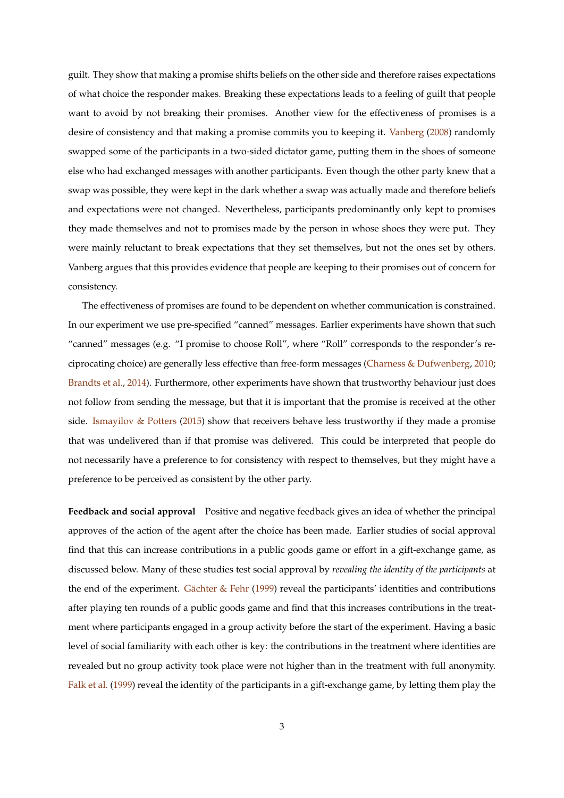guilt. They show that making a promise shifts beliefs on the other side and therefore raises expectations of what choice the responder makes. Breaking these expectations leads to a feeling of guilt that people want to avoid by not breaking their promises. Another view for the effectiveness of promises is a desire of consistency and that making a promise commits you to keeping it. [Vanberg](#page-23-1) [\(2008\)](#page-23-1) randomly swapped some of the participants in a two-sided dictator game, putting them in the shoes of someone else who had exchanged messages with another participants. Even though the other party knew that a swap was possible, they were kept in the dark whether a swap was actually made and therefore beliefs and expectations were not changed. Nevertheless, participants predominantly only kept to promises they made themselves and not to promises made by the person in whose shoes they were put. They were mainly reluctant to break expectations that they set themselves, but not the ones set by others. Vanberg argues that this provides evidence that people are keeping to their promises out of concern for consistency.

The effectiveness of promises are found to be dependent on whether communication is constrained. In our experiment we use pre-specified "canned" messages. Earlier experiments have shown that such "canned" messages (e.g. "I promise to choose Roll", where "Roll" corresponds to the responder's reciprocating choice) are generally less effective than free-form messages [\(Charness & Dufwenberg,](#page-22-8) [2010;](#page-22-8) [Brandts et al.,](#page-22-9) [2014\)](#page-22-9). Furthermore, other experiments have shown that trustworthy behaviour just does not follow from sending the message, but that it is important that the promise is received at the other side. [Ismayilov & Potters](#page-23-5) [\(2015\)](#page-23-5) show that receivers behave less trustworthy if they made a promise that was undelivered than if that promise was delivered. This could be interpreted that people do not necessarily have a preference to for consistency with respect to themselves, but they might have a preference to be perceived as consistent by the other party.

**Feedback and social approval** Positive and negative feedback gives an idea of whether the principal approves of the action of the agent after the choice has been made. Earlier studies of social approval find that this can increase contributions in a public goods game or effort in a gift-exchange game, as discussed below. Many of these studies test social approval by *revealing the identity of the participants* at the end of the experiment. Gächter  $\&$  Fehr [\(1999\)](#page-23-6) reveal the participants' identities and contributions after playing ten rounds of a public goods game and find that this increases contributions in the treatment where participants engaged in a group activity before the start of the experiment. Having a basic level of social familiarity with each other is key: the contributions in the treatment where identities are revealed but no group activity took place were not higher than in the treatment with full anonymity. [Falk et al.](#page-22-10) [\(1999\)](#page-22-10) reveal the identity of the participants in a gift-exchange game, by letting them play the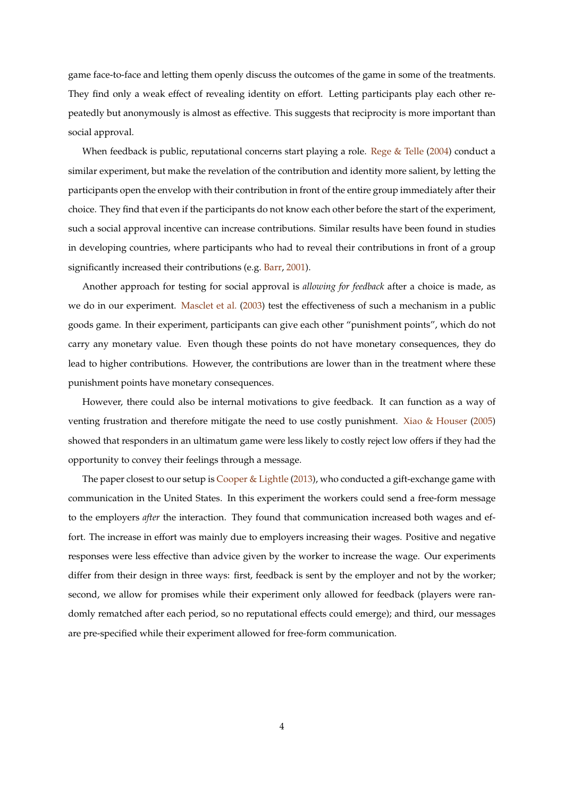game face-to-face and letting them openly discuss the outcomes of the game in some of the treatments. They find only a weak effect of revealing identity on effort. Letting participants play each other repeatedly but anonymously is almost as effective. This suggests that reciprocity is more important than social approval.

When feedback is public, reputational concerns start playing a role. [Rege & Telle](#page-23-7) [\(2004\)](#page-23-7) conduct a similar experiment, but make the revelation of the contribution and identity more salient, by letting the participants open the envelop with their contribution in front of the entire group immediately after their choice. They find that even if the participants do not know each other before the start of the experiment, such a social approval incentive can increase contributions. Similar results have been found in studies in developing countries, where participants who had to reveal their contributions in front of a group significantly increased their contributions (e.g. [Barr,](#page-22-11) [2001\)](#page-22-11).

Another approach for testing for social approval is *allowing for feedback* after a choice is made, as we do in our experiment. [Masclet et al.](#page-23-2) [\(2003\)](#page-23-2) test the effectiveness of such a mechanism in a public goods game. In their experiment, participants can give each other "punishment points", which do not carry any monetary value. Even though these points do not have monetary consequences, they do lead to higher contributions. However, the contributions are lower than in the treatment where these punishment points have monetary consequences.

However, there could also be internal motivations to give feedback. It can function as a way of venting frustration and therefore mitigate the need to use costly punishment. [Xiao & Houser](#page-23-8) [\(2005\)](#page-23-8) showed that responders in an ultimatum game were less likely to costly reject low offers if they had the opportunity to convey their feelings through a message.

The paper closest to our setup is [Cooper & Lightle](#page-22-12) [\(2013\)](#page-22-12), who conducted a gift-exchange game with communication in the United States. In this experiment the workers could send a free-form message to the employers *after* the interaction. They found that communication increased both wages and effort. The increase in effort was mainly due to employers increasing their wages. Positive and negative responses were less effective than advice given by the worker to increase the wage. Our experiments differ from their design in three ways: first, feedback is sent by the employer and not by the worker; second, we allow for promises while their experiment only allowed for feedback (players were randomly rematched after each period, so no reputational effects could emerge); and third, our messages are pre-specified while their experiment allowed for free-form communication.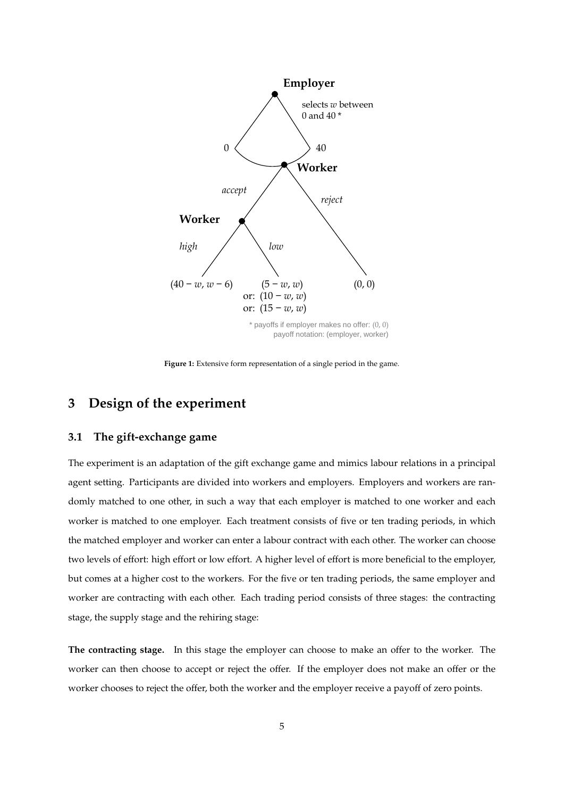<span id="page-7-0"></span>

payoff notation: (employer, worker)

**Figure 1:** Extensive form representation of a single period in the game.

# **3 Design of the experiment**

### **3.1 The gift-exchange game**

The experiment is an adaptation of the gift exchange game and mimics labour relations in a principal agent setting. Participants are divided into workers and employers. Employers and workers are randomly matched to one other, in such a way that each employer is matched to one worker and each worker is matched to one employer. Each treatment consists of five or ten trading periods, in which the matched employer and worker can enter a labour contract with each other. The worker can choose two levels of effort: high effort or low effort. A higher level of effort is more beneficial to the employer, but comes at a higher cost to the workers. For the five or ten trading periods, the same employer and worker are contracting with each other. Each trading period consists of three stages: the contracting stage, the supply stage and the rehiring stage:

**The contracting stage.** In this stage the employer can choose to make an offer to the worker. The worker can then choose to accept or reject the offer. If the employer does not make an offer or the worker chooses to reject the offer, both the worker and the employer receive a payoff of zero points.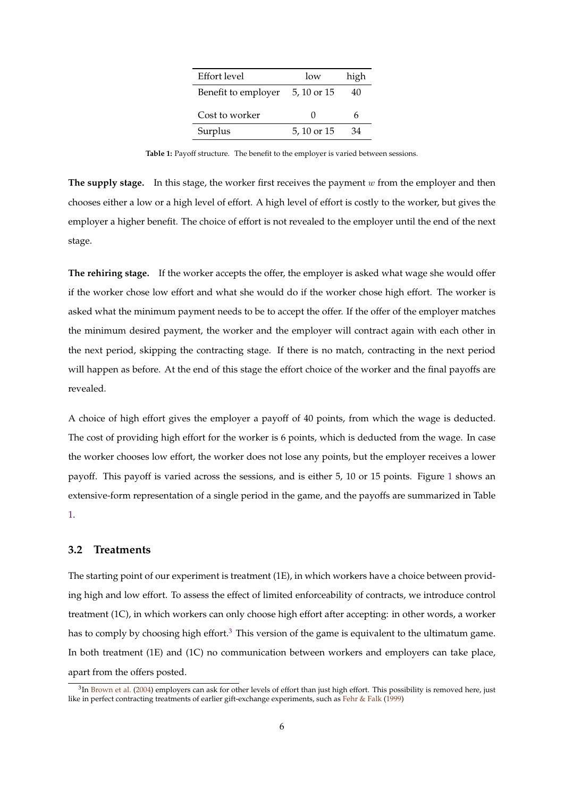| Effort level        | low         | high |
|---------------------|-------------|------|
| Benefit to employer | 5, 10 or 15 | 40   |
| Cost to worker      | 0           | h    |
| Surplus             | 5, 10 or 15 | 34   |

**Table 1:** Payoff structure. The benefit to the employer is varied between sessions.

<span id="page-8-0"></span>**The supply stage.** In this stage, the worker first receives the payment w from the employer and then chooses either a low or a high level of effort. A high level of effort is costly to the worker, but gives the employer a higher benefit. The choice of effort is not revealed to the employer until the end of the next stage.

**The rehiring stage.** If the worker accepts the offer, the employer is asked what wage she would offer if the worker chose low effort and what she would do if the worker chose high effort. The worker is asked what the minimum payment needs to be to accept the offer. If the offer of the employer matches the minimum desired payment, the worker and the employer will contract again with each other in the next period, skipping the contracting stage. If there is no match, contracting in the next period will happen as before. At the end of this stage the effort choice of the worker and the final payoffs are revealed.

A choice of high effort gives the employer a payoff of 40 points, from which the wage is deducted. The cost of providing high effort for the worker is 6 points, which is deducted from the wage. In case the worker chooses low effort, the worker does not lose any points, but the employer receives a lower payoff. This payoff is varied across the sessions, and is either 5, 10 or 15 points. Figure [1](#page-7-0) shows an extensive-form representation of a single period in the game, and the payoffs are summarized in Table [1.](#page-8-0)

### **3.2 Treatments**

The starting point of our experiment is treatment (1E), in which workers have a choice between providing high and low effort. To assess the effect of limited enforceability of contracts, we introduce control treatment (1C), in which workers can only choose high effort after accepting: in other words, a worker has to comply by choosing high effort.<sup>[3](#page-8-1)</sup> This version of the game is equivalent to the ultimatum game. In both treatment (1E) and (1C) no communication between workers and employers can take place, apart from the offers posted.

<span id="page-8-1"></span> ${}^{3}$ In [Brown et al.](#page-22-13) [\(2004\)](#page-22-13) employers can ask for other levels of effort than just high effort. This possibility is removed here, just like in perfect contracting treatments of earlier gift-exchange experiments, such as [Fehr & Falk](#page-23-9) [\(1999\)](#page-23-9)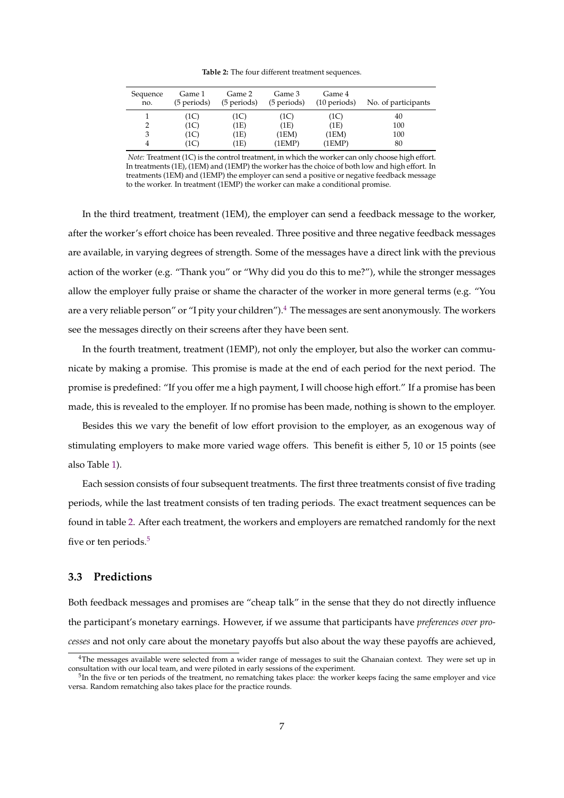**Table 2:** The four different treatment sequences.

<span id="page-9-1"></span>

| Sequence<br>no. | Game 1<br>(5 periods) | Game 2<br>(5 periods) | Game 3<br>(5 periods) | Game 4<br>$(10 \text{ periods})$ | No. of participants |
|-----------------|-----------------------|-----------------------|-----------------------|----------------------------------|---------------------|
|                 | (1C)                  | (1C)                  | (1C)                  | (1C)                             | 40                  |
|                 | (1C)                  | (1E)                  | (1E)                  | (1E)                             | 100                 |
|                 | (1C)                  | (1E)                  | (1EM)                 | (1EM)                            | 100                 |
| 4               | (1C)                  | (1E)                  | (1EMP)                | (1EMP)                           | 80                  |

*Note:* Treatment (1C) is the control treatment, in which the worker can only choose high effort. In treatments (1E), (1EM) and (1EMP) the worker has the choice of both low and high effort. In treatments (1EM) and (1EMP) the employer can send a positive or negative feedback message to the worker. In treatment (1EMP) the worker can make a conditional promise.

In the third treatment, treatment (1EM), the employer can send a feedback message to the worker, after the worker's effort choice has been revealed. Three positive and three negative feedback messages are available, in varying degrees of strength. Some of the messages have a direct link with the previous action of the worker (e.g. "Thank you" or "Why did you do this to me?"), while the stronger messages allow the employer fully praise or shame the character of the worker in more general terms (e.g. "You are a very reliable person" or "I pity your children").<sup>[4](#page-9-0)</sup> The messages are sent anonymously. The workers see the messages directly on their screens after they have been sent.

In the fourth treatment, treatment (1EMP), not only the employer, but also the worker can communicate by making a promise. This promise is made at the end of each period for the next period. The promise is predefined: "If you offer me a high payment, I will choose high effort." If a promise has been made, this is revealed to the employer. If no promise has been made, nothing is shown to the employer.

Besides this we vary the benefit of low effort provision to the employer, as an exogenous way of stimulating employers to make more varied wage offers. This benefit is either 5, 10 or 15 points (see also Table [1\)](#page-8-0).

Each session consists of four subsequent treatments. The first three treatments consist of five trading periods, while the last treatment consists of ten trading periods. The exact treatment sequences can be found in table [2.](#page-9-1) After each treatment, the workers and employers are rematched randomly for the next five or ten periods.<sup>[5](#page-9-2)</sup>

### **3.3 Predictions**

Both feedback messages and promises are "cheap talk" in the sense that they do not directly influence the participant's monetary earnings. However, if we assume that participants have *preferences over processes* and not only care about the monetary payoffs but also about the way these payoffs are achieved,

<span id="page-9-0"></span> $4$ The messages available were selected from a wider range of messages to suit the Ghanaian context. They were set up in consultation with our local team, and were piloted in early sessions of the experiment.

<span id="page-9-2"></span><sup>&</sup>lt;sup>5</sup>In the five or ten periods of the treatment, no rematching takes place: the worker keeps facing the same employer and vice versa. Random rematching also takes place for the practice rounds.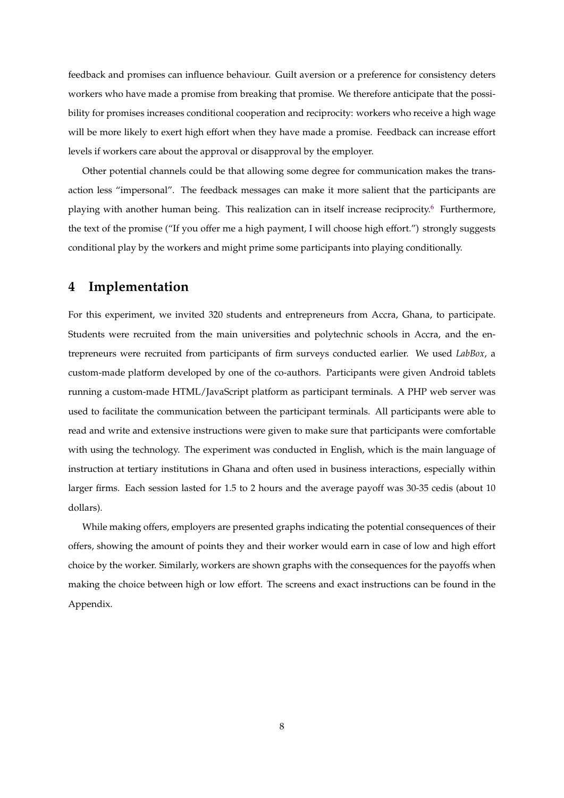feedback and promises can influence behaviour. Guilt aversion or a preference for consistency deters workers who have made a promise from breaking that promise. We therefore anticipate that the possibility for promises increases conditional cooperation and reciprocity: workers who receive a high wage will be more likely to exert high effort when they have made a promise. Feedback can increase effort levels if workers care about the approval or disapproval by the employer.

Other potential channels could be that allowing some degree for communication makes the transaction less "impersonal". The feedback messages can make it more salient that the participants are playing with another human being. This realization can in itself increase reciprocity.[6](#page-11-0) Furthermore, the text of the promise ("If you offer me a high payment, I will choose high effort.") strongly suggests conditional play by the workers and might prime some participants into playing conditionally.

# **4 Implementation**

For this experiment, we invited 320 students and entrepreneurs from Accra, Ghana, to participate. Students were recruited from the main universities and polytechnic schools in Accra, and the entrepreneurs were recruited from participants of firm surveys conducted earlier. We used *LabBox*, a custom-made platform developed by one of the co-authors. Participants were given Android tablets running a custom-made HTML/JavaScript platform as participant terminals. A PHP web server was used to facilitate the communication between the participant terminals. All participants were able to read and write and extensive instructions were given to make sure that participants were comfortable with using the technology. The experiment was conducted in English, which is the main language of instruction at tertiary institutions in Ghana and often used in business interactions, especially within larger firms. Each session lasted for 1.5 to 2 hours and the average payoff was 30-35 cedis (about 10 dollars).

While making offers, employers are presented graphs indicating the potential consequences of their offers, showing the amount of points they and their worker would earn in case of low and high effort choice by the worker. Similarly, workers are shown graphs with the consequences for the payoffs when making the choice between high or low effort. The screens and exact instructions can be found in the Appendix.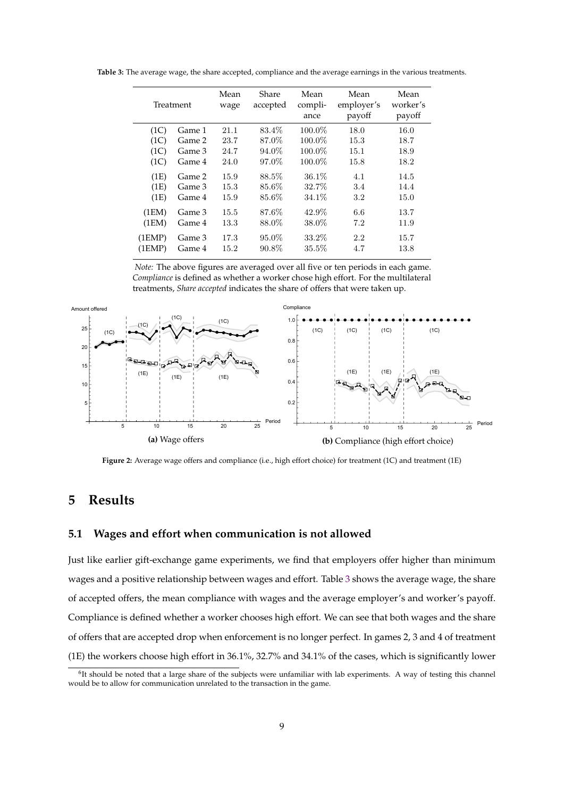<span id="page-11-1"></span>**Table 3:** The average wage, the share accepted, compliance and the average earnings in the various treatments.

|        | Treatment | Mean<br>wage | Share<br>accepted | Mean<br>compli-<br>ance | Mean<br>employer's<br>payoff | Mean<br>worker's<br>payoff |
|--------|-----------|--------------|-------------------|-------------------------|------------------------------|----------------------------|
| (1C)   | Game 1    | 21.1         | 83.4\%            | 100.0%                  | 18.0                         | 16.0                       |
| (1C)   | Game 2    | 23.7         | 87.0%             | 100.0%                  | 15.3                         | 18.7                       |
| (1C)   | Game 3    | 24.7         | 94.0%             | 100.0%                  | 15.1                         | 18.9                       |
| (1C)   | Game 4    | 24.0         | 97.0%             | 100.0%                  | 15.8                         | 18.2                       |
| (1E)   | Game 2    | 15.9         | 88.5%             | $36.1\%$                | 4.1                          | 14.5                       |
| (1E)   | Game 3    | 15.3         | 85.6%             | 32.7%                   | 3.4                          | 14.4                       |
| (1E)   | Game 4    | 15.9         | 85.6%             | 34.1%                   | $3.2\,$                      | 15.0                       |
| (1EM)  | Game 3    | 15.5         | 87.6%             | 42.9%                   | 6.6                          | 13.7                       |
| (1EM)  | Game 4    | 13.3         | 88.0%             | 38.0%                   | 7.2                          | 11.9                       |
| (1EMP) | Game 3    | 17.3         | 95.0%             | 33.2\%                  | 2.2                          | 15.7                       |
| (1EMP) | Game 4    | 15.2         | 90.8%             | 35.5%                   | 4.7                          | 13.8                       |

*Note:* The above figures are averaged over all five or ten periods in each game. *Compliance* is defined as whether a worker chose high effort. For the multilateral treatments, *Share accepted* indicates the share of offers that were taken up.

<span id="page-11-2"></span>

**Figure 2:** Average wage offers and compliance (i.e., high effort choice) for treatment (1C) and treatment (1E)

# **5 Results**

### **5.1 Wages and effort when communication is not allowed**

Just like earlier gift-exchange game experiments, we find that employers offer higher than minimum wages and a positive relationship between wages and effort. Table [3](#page-11-1) shows the average wage, the share of accepted offers, the mean compliance with wages and the average employer's and worker's payoff. Compliance is defined whether a worker chooses high effort. We can see that both wages and the share of offers that are accepted drop when enforcement is no longer perfect. In games 2, 3 and 4 of treatment (1E) the workers choose high effort in 36.1%, 32.7% and 34.1% of the cases, which is significantly lower

<span id="page-11-0"></span><sup>&</sup>lt;sup>6</sup>It should be noted that a large share of the subjects were unfamiliar with lab experiments. A way of testing this channel would be to allow for communication unrelated to the transaction in the game.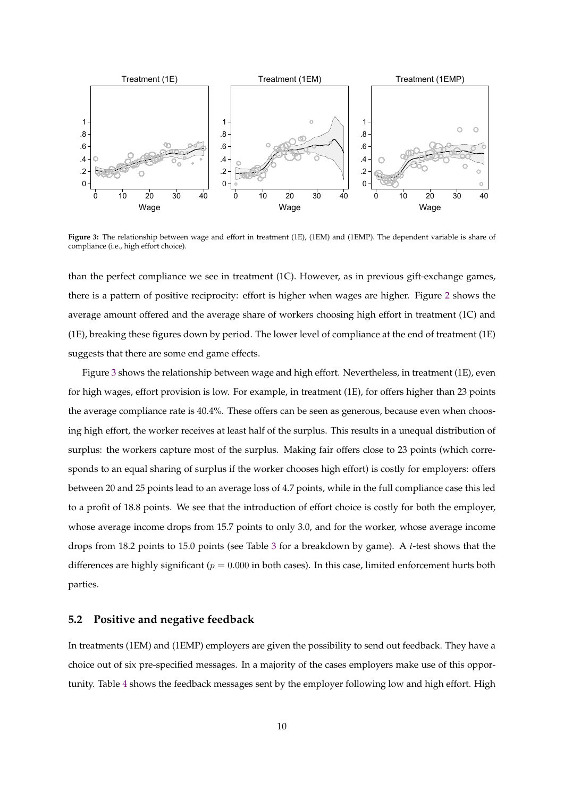<span id="page-12-0"></span>

**Figure 3:** The relationship between wage and effort in treatment (1E), (1EM) and (1EMP). The dependent variable is share of compliance (i.e., high effort choice).

than the perfect compliance we see in treatment (1C). However, as in previous gift-exchange games, there is a pattern of positive reciprocity: effort is higher when wages are higher. Figure [2](#page-11-2) shows the average amount offered and the average share of workers choosing high effort in treatment (1C) and (1E), breaking these figures down by period. The lower level of compliance at the end of treatment (1E) suggests that there are some end game effects.

Figure [3](#page-12-0) shows the relationship between wage and high effort. Nevertheless, in treatment (1E), even for high wages, effort provision is low. For example, in treatment (1E), for offers higher than 23 points the average compliance rate is 40.4%. These offers can be seen as generous, because even when choosing high effort, the worker receives at least half of the surplus. This results in a unequal distribution of surplus: the workers capture most of the surplus. Making fair offers close to 23 points (which corresponds to an equal sharing of surplus if the worker chooses high effort) is costly for employers: offers between 20 and 25 points lead to an average loss of 4.7 points, while in the full compliance case this led to a profit of 18.8 points. We see that the introduction of effort choice is costly for both the employer, whose average income drops from 15.7 points to only 3.0, and for the worker, whose average income drops from 18.2 points to 15.0 points (see Table [3](#page-11-1) for a breakdown by game). A *t*-test shows that the differences are highly significant ( $p = 0.000$  in both cases). In this case, limited enforcement hurts both parties.

### **5.2 Positive and negative feedback**

In treatments (1EM) and (1EMP) employers are given the possibility to send out feedback. They have a choice out of six pre-specified messages. In a majority of the cases employers make use of this opportunity. Table [4](#page-13-0) shows the feedback messages sent by the employer following low and high effort. High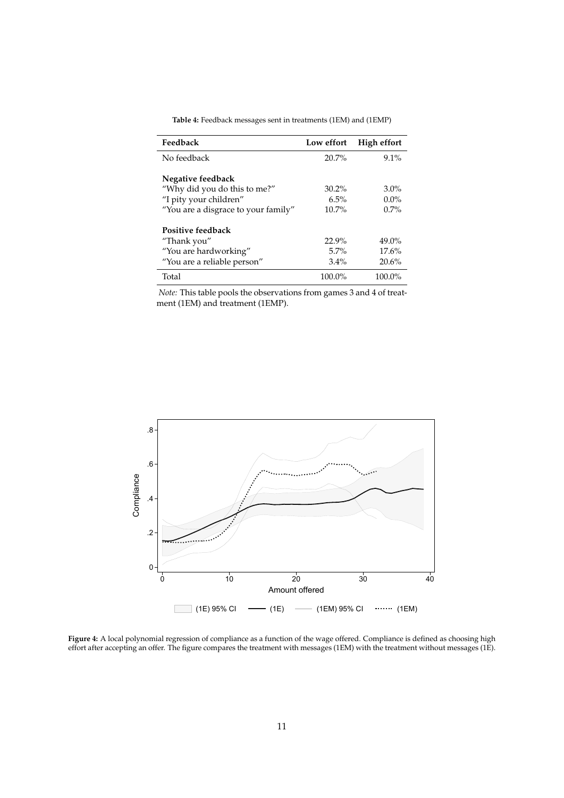<span id="page-13-0"></span>

| Feedback                            | Low effort | High effort |
|-------------------------------------|------------|-------------|
| No feedback                         | $20.7\%$   | $9.1\%$     |
| Negative feedback                   |            |             |
| "Why did you do this to me?"        | $30.2\%$   | $3.0\%$     |
| "I pity your children"              | 6.5%       | $0.0\%$     |
| "You are a disgrace to your family" | $10.7\%$   | $0.7\%$     |
| Positive feedback                   |            |             |
| "Thank you"                         | 22.9%      | $49.0\%$    |
| "You are hardworking"               | 5.7%       | 17.6%       |
| "You are a reliable person"         | $3.4\%$    | 20.6%       |
| Total                               | $100.0\%$  | 100.0%      |

**Table 4:** Feedback messages sent in treatments (1EM) and (1EMP)

*Note:* This table pools the observations from games 3 and 4 of treatment (1EM) and treatment (1EMP).

<span id="page-13-1"></span>

**Figure 4:** A local polynomial regression of compliance as a function of the wage offered. Compliance is defined as choosing high effort after accepting an offer. The figure compares the treatment with messages (1EM) with the treatment without messages (1E).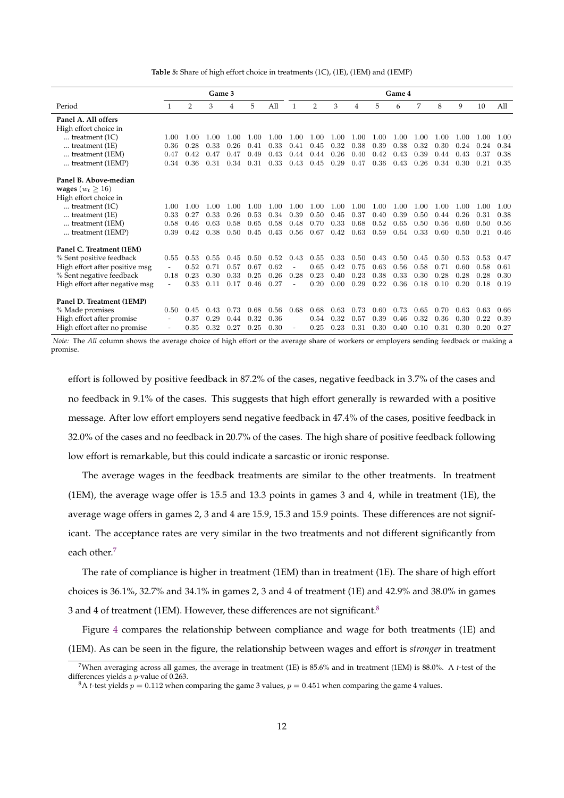**Table 5:** Share of high effort choice in treatments (1C), (1E), (1EM) and (1EMP)

<span id="page-14-2"></span>

|                                | Game 3                   |      |      | Game 4 |      |      |      |                |      |      |      |      |      |      |      |      |      |
|--------------------------------|--------------------------|------|------|--------|------|------|------|----------------|------|------|------|------|------|------|------|------|------|
| Period                         | 1                        | 2    | 3    | 4      | 5    | All  | 1    | $\overline{2}$ | 3    | 4    | 5    | 6    | 7    | 8    | 9    | 10   | All  |
| Panel A. All offers            |                          |      |      |        |      |      |      |                |      |      |      |      |      |      |      |      |      |
| High effort choice in          |                          |      |      |        |      |      |      |                |      |      |      |      |      |      |      |      |      |
| treatment $(1C)$               | 1.00                     | 1.00 | 1.00 | 1.00   | 1.00 | 1.00 | 1.00 | 1.00           | 1.00 | 1.00 | 1.00 | 1.00 | 1.00 | 1.00 | 1.00 | 1.00 | 1.00 |
| treatment $(1E)$               | 0.36                     | 0.28 | 0.33 | 0.26   | 0.41 | 0.33 | 0.41 | 0.45           | 0.32 | 0.38 | 0.39 | 0.38 | 0.32 | 0.30 | 0.24 | 0.24 | 0.34 |
| treatment (1EM)                | 0.47                     | 0.42 | 0.47 | 0.47   | 0.49 | 0.43 | 0.44 | 0.44           | 0.26 | 0.40 | 0.42 | 0.43 | 0.39 | 0.44 | 0.43 | 0.37 | 0.38 |
| treatment (1EMP)               | 0.34                     | 0.36 | 0.31 | 0.34   | 0.31 | 0.33 | 0.43 | 0.45           | 0.29 | 0.47 | 0.36 | 0.43 | 0.26 | 0.34 | 0.30 | 0.21 | 0.35 |
| Panel B. Above-median          |                          |      |      |        |      |      |      |                |      |      |      |      |      |      |      |      |      |
| wages ( $w_t \ge 16$ )         |                          |      |      |        |      |      |      |                |      |      |      |      |      |      |      |      |      |
| High effort choice in          |                          |      |      |        |      |      |      |                |      |      |      |      |      |      |      |      |      |
| treatment $(1C)$               | 1.00                     | 1.00 | 1.00 | 1.00   | 1.00 | 1.00 | 1.00 | 1.00           | 1.00 | 1.00 | 1.00 | 1.00 | 1.00 | 1.00 | 1.00 | 1.00 | 1.00 |
| treatment $(1E)$               | 0.33                     | 0.27 | 0.33 | 0.26   | 0.53 | 0.34 | 0.39 | 0.50           | 0.45 | 0.37 | 0.40 | 0.39 | 0.50 | 0.44 | 0.26 | 0.31 | 0.38 |
| treatment (1EM)                | 0.58                     | 0.46 | 0.63 | 0.58   | 0.65 | 0.58 | 0.48 | 0.70           | 0.33 | 0.68 | 0.52 | 0.65 | 0.50 | 0.56 | 0.60 | 0.50 | 0.56 |
| treatment (1EMP)               | 0.39                     | 0.42 | 0.38 | 0.50   | 0.45 | 0.43 | 0.56 | 0.67           | 0.42 | 0.63 | 0.59 | 0.64 | 0.33 | 0.60 | 0.50 | 0.21 | 0.46 |
| Panel C. Treatment (1EM)       |                          |      |      |        |      |      |      |                |      |      |      |      |      |      |      |      |      |
| % Sent positive feedback       | 0.55                     | 0.53 | 0.55 | 0.45   | 0.50 | 0.52 | 0.43 | 0.55           | 0.33 | 0.50 | 0.43 | 0.50 | 0.45 | 0.50 | 0.53 | 0.53 | 0.47 |
| High effort after positive msg | $\overline{\phantom{a}}$ | 0.52 | 0.71 | 0.57   | 0.67 | 0.62 | ٠    | 0.65           | 0.42 | 0.75 | 0.63 | 0.56 | 0.58 | 0.71 | 0.60 | 0.58 | 0.61 |
| % Sent negative feedback       | 0.18                     | 0.23 | 0.30 | 0.33   | 0.25 | 0.26 | 0.28 | 0.23           | 0.40 | 0.23 | 0.38 | 0.33 | 0.30 | 0.28 | 0.28 | 0.28 | 0.30 |
| High effort after negative msg |                          | 0.33 | 0.11 | 0.17   | 0.46 | 0.27 |      | 0.20           | 0.00 | 0.29 | 0.22 | 0.36 | 0.18 | 0.10 | 0.20 | 0.18 | 0.19 |
|                                |                          |      |      |        |      |      |      |                |      |      |      |      |      |      |      |      |      |
| Panel D. Treatment (1EMP)      |                          |      |      |        |      |      |      |                |      |      |      |      |      |      |      |      |      |
| % Made promises                | 0.50                     | 0.45 | 0.43 | 0.73   | 0.68 | 0.56 | 0.68 | 0.68           | 0.63 | 0.73 | 0.60 | 0.73 | 0.65 | 0.70 | 0.63 | 0.63 | 0.66 |
| High effort after promise      |                          | 0.37 | 0.29 | 0.44   | 0.32 | 0.36 |      | 0.54           | 0.32 | 0.57 | 0.39 | 0.46 | 0.32 | 0.36 | 0.30 | 0.22 | 0.39 |
| High effort after no promise   |                          | 0.35 | 0.32 | 0.27   | 0.25 | 0.30 |      | 0.25           | 0.23 | 0.31 | 0.30 | 0.40 | 0.10 | 0.31 | 0.30 | 0.20 | 0.27 |

*Note:* The *All* column shows the average choice of high effort or the average share of workers or employers sending feedback or making a promise.

effort is followed by positive feedback in 87.2% of the cases, negative feedback in 3.7% of the cases and no feedback in 9.1% of the cases. This suggests that high effort generally is rewarded with a positive message. After low effort employers send negative feedback in 47.4% of the cases, positive feedback in 32.0% of the cases and no feedback in 20.7% of the cases. The high share of positive feedback following low effort is remarkable, but this could indicate a sarcastic or ironic response.

The average wages in the feedback treatments are similar to the other treatments. In treatment (1EM), the average wage offer is 15.5 and 13.3 points in games 3 and 4, while in treatment (1E), the average wage offers in games 2, 3 and 4 are 15.9, 15.3 and 15.9 points. These differences are not significant. The acceptance rates are very similar in the two treatments and not different significantly from each other.<sup>[7](#page-14-0)</sup>

The rate of compliance is higher in treatment (1EM) than in treatment (1E). The share of high effort choices is 36.1%, 32.7% and 34.1% in games 2, 3 and 4 of treatment (1E) and 42.9% and 38.0% in games 3 and 4 of treatment (1EM). However, these differences are not significant.<sup>[8](#page-14-1)</sup>

Figure [4](#page-13-1) compares the relationship between compliance and wage for both treatments (1E) and (1EM). As can be seen in the figure, the relationship between wages and effort is *stronger* in treatment

<span id="page-14-0"></span><sup>7</sup>When averaging across all games, the average in treatment (1E) is 85.6% and in treatment (1EM) is 88.0%. A *t*-test of the differences yields a p-value of 0.263.

<span id="page-14-1"></span> ${}^{8}$ A *t*-test yields  $p = 0.112$  when comparing the game 3 values,  $p = 0.451$  when comparing the game 4 values.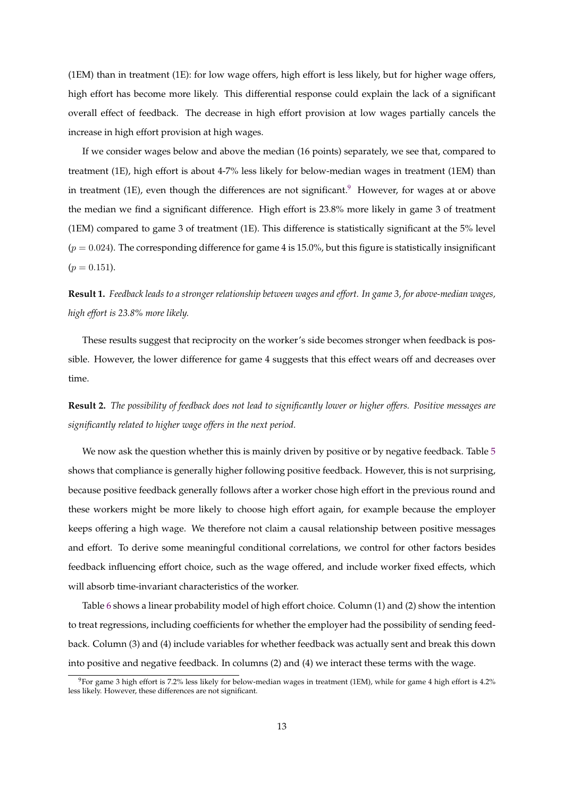(1EM) than in treatment (1E): for low wage offers, high effort is less likely, but for higher wage offers, high effort has become more likely. This differential response could explain the lack of a significant overall effect of feedback. The decrease in high effort provision at low wages partially cancels the increase in high effort provision at high wages.

If we consider wages below and above the median (16 points) separately, we see that, compared to treatment (1E), high effort is about 4-7% less likely for below-median wages in treatment (1EM) than in treatment (1E), even though the differences are not significant.<sup>[9](#page-15-0)</sup> However, for wages at or above the median we find a significant difference. High effort is 23.8% more likely in game 3 of treatment (1EM) compared to game 3 of treatment (1E). This difference is statistically significant at the 5% level  $(p = 0.024)$ . The corresponding difference for game 4 is 15.0%, but this figure is statistically insignificant  $(p = 0.151)$ .

# **Result 1.** *Feedback leads to a stronger relationship between wages and effort. In game 3, for above-median wages, high effort is 23.8% more likely.*

These results suggest that reciprocity on the worker's side becomes stronger when feedback is possible. However, the lower difference for game 4 suggests that this effect wears off and decreases over time.

**Result 2.** *The possibility of feedback does not lead to significantly lower or higher offers. Positive messages are significantly related to higher wage offers in the next period.*

We now ask the question whether this is mainly driven by positive or by negative feedback. Table [5](#page-14-2) shows that compliance is generally higher following positive feedback. However, this is not surprising, because positive feedback generally follows after a worker chose high effort in the previous round and these workers might be more likely to choose high effort again, for example because the employer keeps offering a high wage. We therefore not claim a causal relationship between positive messages and effort. To derive some meaningful conditional correlations, we control for other factors besides feedback influencing effort choice, such as the wage offered, and include worker fixed effects, which will absorb time-invariant characteristics of the worker.

Table [6](#page-16-0) shows a linear probability model of high effort choice. Column (1) and (2) show the intention to treat regressions, including coefficients for whether the employer had the possibility of sending feedback. Column (3) and (4) include variables for whether feedback was actually sent and break this down into positive and negative feedback. In columns (2) and (4) we interact these terms with the wage.

<span id="page-15-0"></span> $9$ For game 3 high effort is 7.2% less likely for below-median wages in treatment (1EM), while for game 4 high effort is 4.2% less likely. However, these differences are not significant.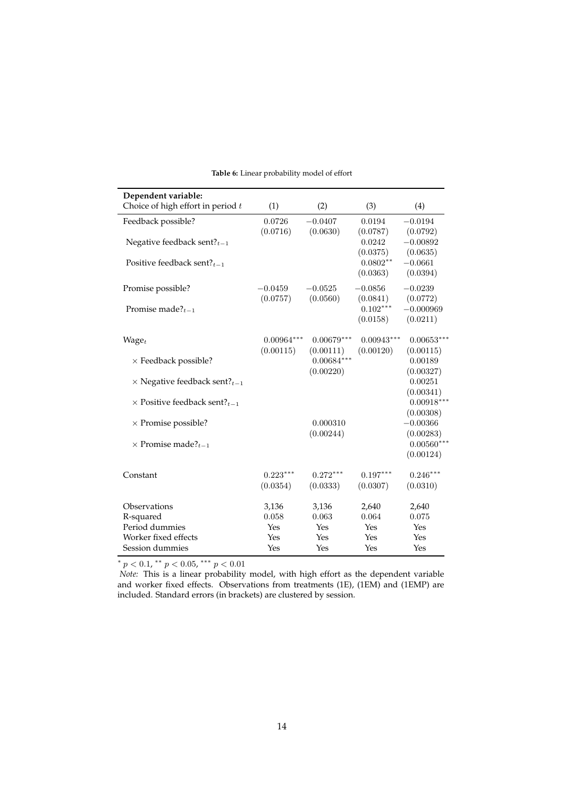<span id="page-16-0"></span>

| Dependent variable:                             |                           |                           |                           |                         |
|-------------------------------------------------|---------------------------|---------------------------|---------------------------|-------------------------|
| Choice of high effort in period $t$             | (1)                       | (2)                       | (3)                       | (4)                     |
| Feedback possible?                              | 0.0726<br>(0.0716)        | $-0.0407$<br>(0.0630)     | 0.0194<br>(0.0787)        | $-0.0194$<br>(0.0792)   |
| Negative feedback sent? $t-1$                   |                           |                           | 0.0242<br>(0.0375)        | $-0.00892$<br>(0.0635)  |
| Positive feedback sent? $t-1$                   |                           |                           | $0.0802**$<br>(0.0363)    | $-0.0661$<br>(0.0394)   |
| Promise possible?                               | $-0.0459$<br>(0.0757)     | $-0.0525$<br>(0.0560)     | $-0.0856$<br>(0.0841)     | $-0.0239$<br>(0.0772)   |
| Promise made? $t_{t-1}$                         |                           |                           | $0.102***$<br>(0.0158)    | $-0.000969$<br>(0.0211) |
| $Wage_t$                                        | $0.00964***$<br>(0.00115) | $0.00679***$<br>(0.00111) | $0.00943***$<br>(0.00120) | $0.00653*$<br>(0.00115) |
| $\times$ Feedback possible?                     |                           | $0.00684***$<br>(0.00220) |                           | 0.00189<br>(0.00327)    |
| $\times$ Negative feedback sent? <sub>t-1</sub> |                           |                           |                           | 0.00251<br>(0.00341)    |
| $\times$ Positive feedback sent? <sub>t-1</sub> |                           |                           |                           | $0.00918*$<br>(0.00308) |
| $\times$ Promise possible?                      |                           | 0.000310<br>(0.00244)     |                           | $-0.00366$<br>(0.00283) |
| $\times$ Promise made? <sub>t-1</sub>           |                           |                           |                           | $0.00560*$<br>(0.00124) |
| Constant                                        | $0.223***$<br>(0.0354)    | $0.272***$<br>(0.0333)    | $0.197***$<br>(0.0307)    | $0.246***$<br>(0.0310)  |
| Observations                                    | 3,136                     | 3,136                     | 2,640                     | 2,640                   |
| R-squared                                       | 0.058                     | 0.063                     | 0.064                     | 0.075                   |
| Period dummies                                  | Yes                       | Yes                       | Yes                       | Yes                     |
| Worker fixed effects                            | Yes                       | Yes                       | Yes                       | Yes                     |
| Session dummies                                 | Yes                       | Yes                       | Yes                       | Yes                     |

### **Table 6:** Linear probability model of effort

 $* p < 0.1$ ,  $* p < 0.05$ ,  $* * p < 0.01$ 

*Note:* This is a linear probability model, with high effort as the dependent variable and worker fixed effects. Observations from treatments (1E), (1EM) and (1EMP) are included. Standard errors (in brackets) are clustered by session.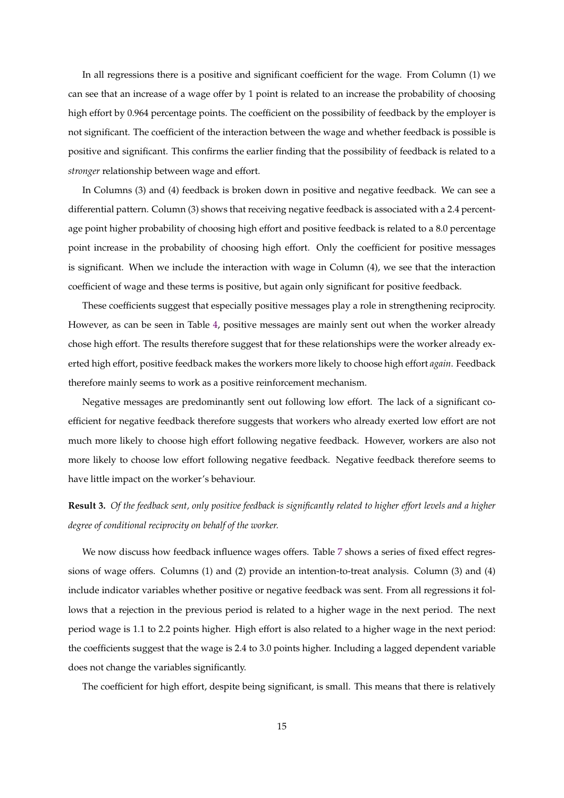In all regressions there is a positive and significant coefficient for the wage. From Column (1) we can see that an increase of a wage offer by 1 point is related to an increase the probability of choosing high effort by 0.964 percentage points. The coefficient on the possibility of feedback by the employer is not significant. The coefficient of the interaction between the wage and whether feedback is possible is positive and significant. This confirms the earlier finding that the possibility of feedback is related to a *stronger* relationship between wage and effort.

In Columns (3) and (4) feedback is broken down in positive and negative feedback. We can see a differential pattern. Column (3) shows that receiving negative feedback is associated with a 2.4 percentage point higher probability of choosing high effort and positive feedback is related to a 8.0 percentage point increase in the probability of choosing high effort. Only the coefficient for positive messages is significant. When we include the interaction with wage in Column (4), we see that the interaction coefficient of wage and these terms is positive, but again only significant for positive feedback.

These coefficients suggest that especially positive messages play a role in strengthening reciprocity. However, as can be seen in Table [4,](#page-13-0) positive messages are mainly sent out when the worker already chose high effort. The results therefore suggest that for these relationships were the worker already exerted high effort, positive feedback makes the workers more likely to choose high effort *again*. Feedback therefore mainly seems to work as a positive reinforcement mechanism.

Negative messages are predominantly sent out following low effort. The lack of a significant coefficient for negative feedback therefore suggests that workers who already exerted low effort are not much more likely to choose high effort following negative feedback. However, workers are also not more likely to choose low effort following negative feedback. Negative feedback therefore seems to have little impact on the worker's behaviour.

# **Result 3.** *Of the feedback sent, only positive feedback is significantly related to higher effort levels and a higher degree of conditional reciprocity on behalf of the worker.*

We now discuss how feedback influence wages offers. Table [7](#page-18-0) shows a series of fixed effect regressions of wage offers. Columns (1) and (2) provide an intention-to-treat analysis. Column (3) and (4) include indicator variables whether positive or negative feedback was sent. From all regressions it follows that a rejection in the previous period is related to a higher wage in the next period. The next period wage is 1.1 to 2.2 points higher. High effort is also related to a higher wage in the next period: the coefficients suggest that the wage is 2.4 to 3.0 points higher. Including a lagged dependent variable does not change the variables significantly.

The coefficient for high effort, despite being significant, is small. This means that there is relatively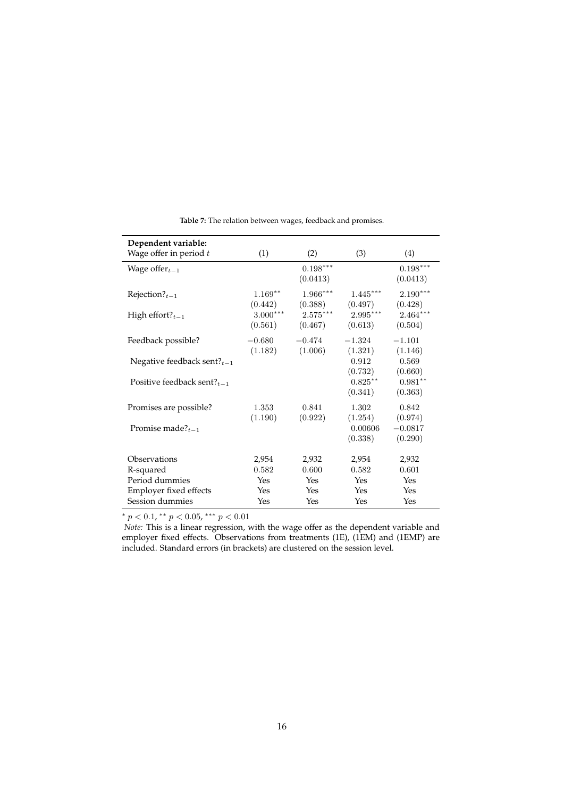<span id="page-18-0"></span>

| Dependent variable:               |            |            |            |            |
|-----------------------------------|------------|------------|------------|------------|
| Wage offer in period $t$          | (1)        | (2)        | (3)        | (4)        |
| Wage offer $_{t-1}$               |            | $0.198***$ |            | $0.198***$ |
|                                   |            | (0.0413)   |            | (0.0413)   |
| Rejection? $t_{t-1}$              | $1.169**$  | $1.966***$ | $1.445***$ | $2.190***$ |
|                                   | (0.442)    | (0.388)    | (0.497)    | (0.428)    |
| High effort? $t-1$                | $3.000***$ | $2.575***$ | $2.995***$ | $2.464***$ |
|                                   | (0.561)    | (0.467)    | (0.613)    | (0.504)    |
| Feedback possible?                | $-0.680$   | $-0.474$   | $-1.324$   | $-1.101$   |
|                                   | (1.182)    | (1.006)    | (1.321)    | (1.146)    |
| Negative feedback sent? $t-1$     |            |            | 0.912      | 0.569      |
|                                   |            |            | (0.732)    | (0.660)    |
| Positive feedback sent? $t_{t-1}$ |            |            | $0.825***$ | $0.981**$  |
|                                   |            |            | (0.341)    | (0.363)    |
| Promises are possible?            | 1.353      | 0.841      | 1.302      | 0.842      |
|                                   | (1.190)    | (0.922)    | (1.254)    | (0.974)    |
| Promise made? $t_{t-1}$           |            |            | 0.00606    | $-0.0817$  |
|                                   |            |            | (0.338)    | (0.290)    |
| Observations                      |            |            |            |            |
|                                   | 2,954      | 2,932      | 2,954      | 2,932      |
| R-squared                         | 0.582      | 0.600      | 0.582      | 0.601      |
| Period dummies                    | Yes        | Yes        | Yes        | Yes        |
| Employer fixed effects            | Yes        | Yes        | Yes        | Yes        |
| Session dummies                   | Yes        | Yes        | Yes        | Yes        |

**Table 7:** The relation between wages, feedback and promises.

\*  $p < 0.1$ , \*\*  $p < 0.05$ , \*\*\*  $p < 0.01$ 

*Note:* This is a linear regression, with the wage offer as the dependent variable and employer fixed effects. Observations from treatments (1E), (1EM) and (1EMP) are included. Standard errors (in brackets) are clustered on the session level.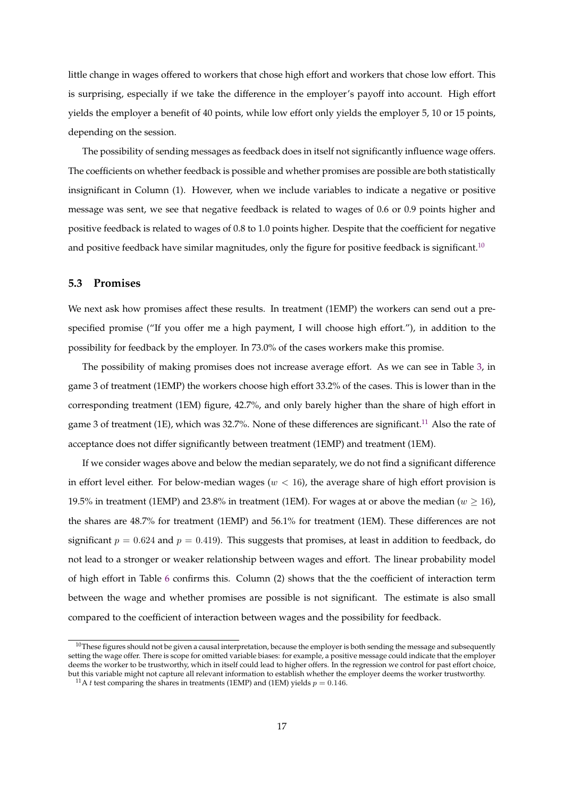little change in wages offered to workers that chose high effort and workers that chose low effort. This is surprising, especially if we take the difference in the employer's payoff into account. High effort yields the employer a benefit of 40 points, while low effort only yields the employer 5, 10 or 15 points, depending on the session.

The possibility of sending messages as feedback does in itself not significantly influence wage offers. The coefficients on whether feedback is possible and whether promises are possible are both statistically insignificant in Column (1). However, when we include variables to indicate a negative or positive message was sent, we see that negative feedback is related to wages of 0.6 or 0.9 points higher and positive feedback is related to wages of 0.8 to 1.0 points higher. Despite that the coefficient for negative and positive feedback have similar magnitudes, only the figure for positive feedback is significant.<sup>[10](#page-19-0)</sup>

### **5.3 Promises**

We next ask how promises affect these results. In treatment (1EMP) the workers can send out a prespecified promise ("If you offer me a high payment, I will choose high effort."), in addition to the possibility for feedback by the employer. In 73.0% of the cases workers make this promise.

The possibility of making promises does not increase average effort. As we can see in Table [3,](#page-11-1) in game 3 of treatment (1EMP) the workers choose high effort 33.2% of the cases. This is lower than in the corresponding treatment (1EM) figure, 42.7%, and only barely higher than the share of high effort in game 3 of treatment (1E), which was 32.7%. None of these differences are significant.<sup>[11](#page-19-1)</sup> Also the rate of acceptance does not differ significantly between treatment (1EMP) and treatment (1EM).

If we consider wages above and below the median separately, we do not find a significant difference in effort level either. For below-median wages ( $w < 16$ ), the average share of high effort provision is 19.5% in treatment (1EMP) and 23.8% in treatment (1EM). For wages at or above the median ( $w \ge 16$ ), the shares are 48.7% for treatment (1EMP) and 56.1% for treatment (1EM). These differences are not significant  $p = 0.624$  and  $p = 0.419$ ). This suggests that promises, at least in addition to feedback, do not lead to a stronger or weaker relationship between wages and effort. The linear probability model of high effort in Table [6](#page-16-0) confirms this. Column (2) shows that the the coefficient of interaction term between the wage and whether promises are possible is not significant. The estimate is also small compared to the coefficient of interaction between wages and the possibility for feedback.

<span id="page-19-0"></span> $10$ These figures should not be given a causal interpretation, because the employer is both sending the message and subsequently setting the wage offer. There is scope for omitted variable biases: for example, a positive message could indicate that the employer deems the worker to be trustworthy, which in itself could lead to higher offers. In the regression we control for past effort choice, but this variable might not capture all relevant information to establish whether the employer deems the worker trustworthy.

<span id="page-19-1"></span><sup>&</sup>lt;sup>11</sup>A *t* test comparing the shares in treatments (1EMP) and (1EM) yields  $p = 0.146$ .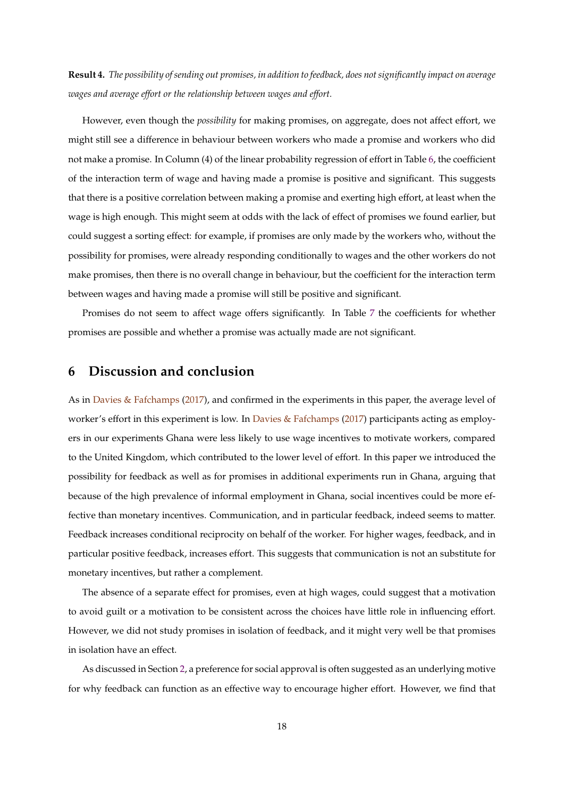**Result 4.** *The possibility of sending out promises, in addition to feedback, does not significantly impact on average wages and average effort or the relationship between wages and effort.*

However, even though the *possibility* for making promises, on aggregate, does not affect effort, we might still see a difference in behaviour between workers who made a promise and workers who did not make a promise. In Column (4) of the linear probability regression of effort in Table [6,](#page-16-0) the coefficient of the interaction term of wage and having made a promise is positive and significant. This suggests that there is a positive correlation between making a promise and exerting high effort, at least when the wage is high enough. This might seem at odds with the lack of effect of promises we found earlier, but could suggest a sorting effect: for example, if promises are only made by the workers who, without the possibility for promises, were already responding conditionally to wages and the other workers do not make promises, then there is no overall change in behaviour, but the coefficient for the interaction term between wages and having made a promise will still be positive and significant.

Promises do not seem to affect wage offers significantly. In Table [7](#page-18-0) the coefficients for whether promises are possible and whether a promise was actually made are not significant.

# **6 Discussion and conclusion**

As in [Davies & Fafchamps](#page-22-1) [\(2017\)](#page-22-1), and confirmed in the experiments in this paper, the average level of worker's effort in this experiment is low. In [Davies & Fafchamps](#page-22-1) [\(2017\)](#page-22-1) participants acting as employers in our experiments Ghana were less likely to use wage incentives to motivate workers, compared to the United Kingdom, which contributed to the lower level of effort. In this paper we introduced the possibility for feedback as well as for promises in additional experiments run in Ghana, arguing that because of the high prevalence of informal employment in Ghana, social incentives could be more effective than monetary incentives. Communication, and in particular feedback, indeed seems to matter. Feedback increases conditional reciprocity on behalf of the worker. For higher wages, feedback, and in particular positive feedback, increases effort. This suggests that communication is not an substitute for monetary incentives, but rather a complement.

The absence of a separate effect for promises, even at high wages, could suggest that a motivation to avoid guilt or a motivation to be consistent across the choices have little role in influencing effort. However, we did not study promises in isolation of feedback, and it might very well be that promises in isolation have an effect.

As discussed in Section [2,](#page-4-0) a preference for social approval is often suggested as an underlying motive for why feedback can function as an effective way to encourage higher effort. However, we find that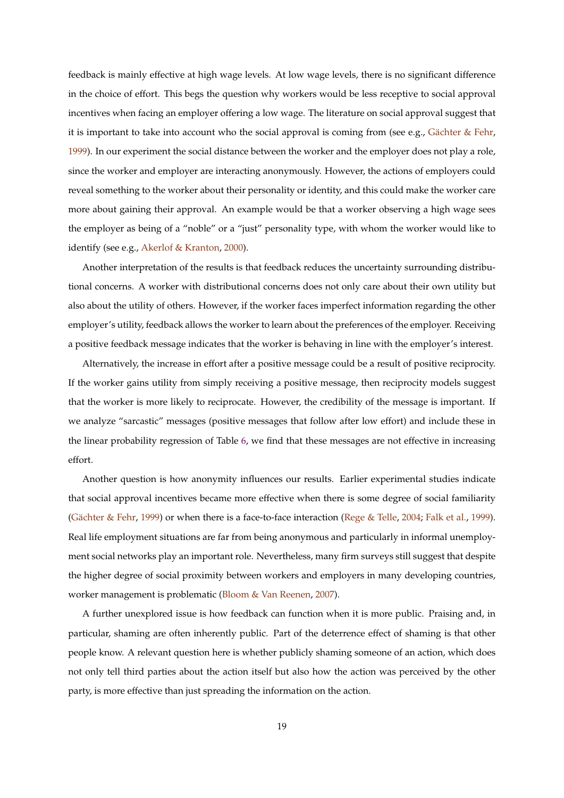feedback is mainly effective at high wage levels. At low wage levels, there is no significant difference in the choice of effort. This begs the question why workers would be less receptive to social approval incentives when facing an employer offering a low wage. The literature on social approval suggest that it is important to take into account who the social approval is coming from (see e.g., Gächter & Fehr, [1999\)](#page-23-6). In our experiment the social distance between the worker and the employer does not play a role, since the worker and employer are interacting anonymously. However, the actions of employers could reveal something to the worker about their personality or identity, and this could make the worker care more about gaining their approval. An example would be that a worker observing a high wage sees the employer as being of a "noble" or a "just" personality type, with whom the worker would like to identify (see e.g., [Akerlof & Kranton,](#page-22-14) [2000\)](#page-22-14).

Another interpretation of the results is that feedback reduces the uncertainty surrounding distributional concerns. A worker with distributional concerns does not only care about their own utility but also about the utility of others. However, if the worker faces imperfect information regarding the other employer's utility, feedback allows the worker to learn about the preferences of the employer. Receiving a positive feedback message indicates that the worker is behaving in line with the employer's interest.

Alternatively, the increase in effort after a positive message could be a result of positive reciprocity. If the worker gains utility from simply receiving a positive message, then reciprocity models suggest that the worker is more likely to reciprocate. However, the credibility of the message is important. If we analyze "sarcastic" messages (positive messages that follow after low effort) and include these in the linear probability regression of Table [6,](#page-16-0) we find that these messages are not effective in increasing effort.

Another question is how anonymity influences our results. Earlier experimental studies indicate that social approval incentives became more effective when there is some degree of social familiarity (Gächter & Fehr, [1999\)](#page-22-10) or when there is a face-to-face interaction [\(Rege & Telle,](#page-23-7) [2004;](#page-23-7) [Falk et al.,](#page-22-10) 1999). Real life employment situations are far from being anonymous and particularly in informal unemployment social networks play an important role. Nevertheless, many firm surveys still suggest that despite the higher degree of social proximity between workers and employers in many developing countries, worker management is problematic [\(Bloom & Van Reenen,](#page-22-15) [2007\)](#page-22-15).

A further unexplored issue is how feedback can function when it is more public. Praising and, in particular, shaming are often inherently public. Part of the deterrence effect of shaming is that other people know. A relevant question here is whether publicly shaming someone of an action, which does not only tell third parties about the action itself but also how the action was perceived by the other party, is more effective than just spreading the information on the action.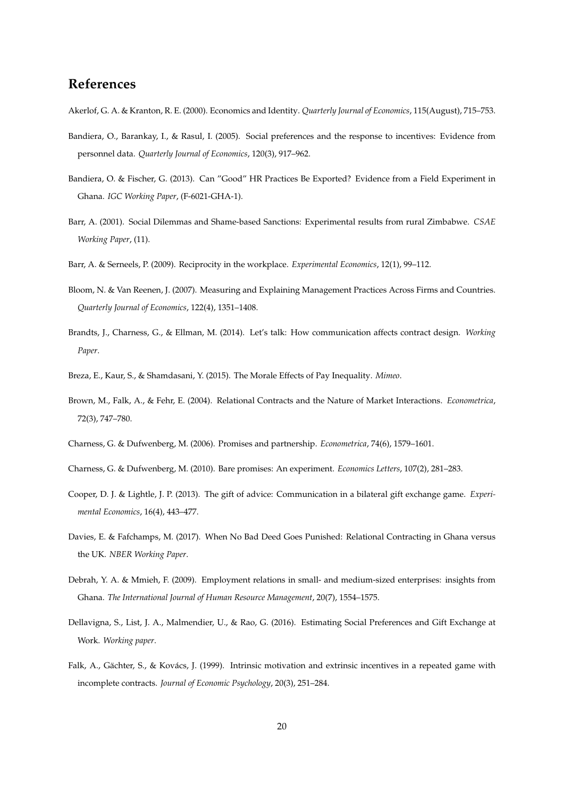# **References**

- <span id="page-22-14"></span>Akerlof, G. A. & Kranton, R. E. (2000). Economics and Identity. *Quarterly Journal of Economics*, 115(August), 715–753.
- <span id="page-22-3"></span>Bandiera, O., Barankay, I., & Rasul, I. (2005). Social preferences and the response to incentives: Evidence from personnel data. *Quarterly Journal of Economics*, 120(3), 917–962.
- <span id="page-22-6"></span>Bandiera, O. & Fischer, G. (2013). Can "Good" HR Practices Be Exported? Evidence from a Field Experiment in Ghana. *IGC Working Paper*, (F-6021-GHA-1).
- <span id="page-22-11"></span>Barr, A. (2001). Social Dilemmas and Shame-based Sanctions: Experimental results from rural Zimbabwe. *CSAE Working Paper*, (11).
- <span id="page-22-5"></span>Barr, A. & Serneels, P. (2009). Reciprocity in the workplace. *Experimental Economics*, 12(1), 99–112.
- <span id="page-22-15"></span>Bloom, N. & Van Reenen, J. (2007). Measuring and Explaining Management Practices Across Firms and Countries. *Quarterly Journal of Economics*, 122(4), 1351–1408.
- <span id="page-22-9"></span>Brandts, J., Charness, G., & Ellman, M. (2014). Let's talk: How communication affects contract design. *Working Paper*.
- <span id="page-22-2"></span>Breza, E., Kaur, S., & Shamdasani, Y. (2015). The Morale Effects of Pay Inequality. *Mimeo*.
- <span id="page-22-13"></span>Brown, M., Falk, A., & Fehr, E. (2004). Relational Contracts and the Nature of Market Interactions. *Econometrica*, 72(3), 747–780.
- <span id="page-22-4"></span>Charness, G. & Dufwenberg, M. (2006). Promises and partnership. *Econometrica*, 74(6), 1579–1601.
- <span id="page-22-8"></span>Charness, G. & Dufwenberg, M. (2010). Bare promises: An experiment. *Economics Letters*, 107(2), 281–283.
- <span id="page-22-12"></span>Cooper, D. J. & Lightle, J. P. (2013). The gift of advice: Communication in a bilateral gift exchange game. *Experimental Economics*, 16(4), 443–477.
- <span id="page-22-1"></span>Davies, E. & Fafchamps, M. (2017). When No Bad Deed Goes Punished: Relational Contracting in Ghana versus the UK. *NBER Working Paper*.
- <span id="page-22-7"></span>Debrah, Y. A. & Mmieh, F. (2009). Employment relations in small- and medium-sized enterprises: insights from Ghana. *The International Journal of Human Resource Management*, 20(7), 1554–1575.
- <span id="page-22-0"></span>Dellavigna, S., List, J. A., Malmendier, U., & Rao, G. (2016). Estimating Social Preferences and Gift Exchange at Work. *Working paper*.
- <span id="page-22-10"></span>Falk, A., Gächter, S., & Kovács, J. (1999). Intrinsic motivation and extrinsic incentives in a repeated game with incomplete contracts. *Journal of Economic Psychology*, 20(3), 251–284.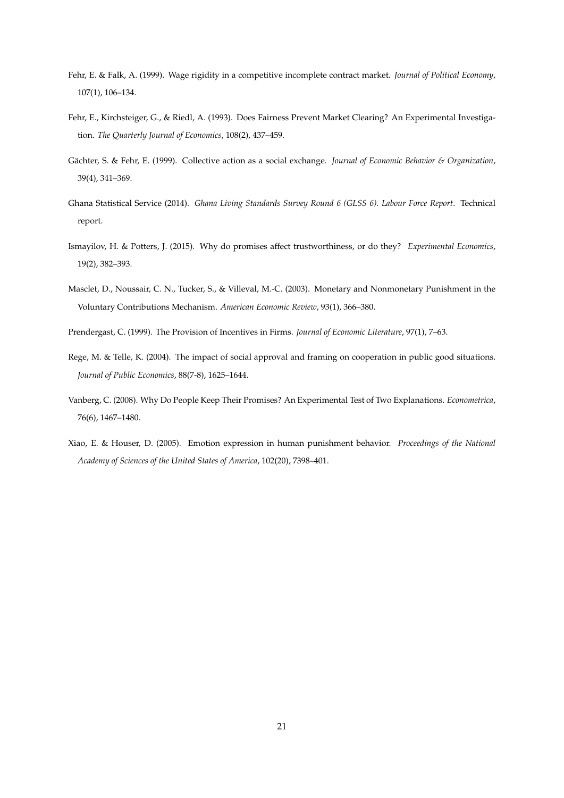- <span id="page-23-9"></span>Fehr, E. & Falk, A. (1999). Wage rigidity in a competitive incomplete contract market. *Journal of Political Economy*, 107(1), 106–134.
- <span id="page-23-4"></span>Fehr, E., Kirchsteiger, G., & Riedl, A. (1993). Does Fairness Prevent Market Clearing? An Experimental Investigation. *The Quarterly Journal of Economics*, 108(2), 437–459.
- <span id="page-23-6"></span>Gächter, S. & Fehr, E. (1999). Collective action as a social exchange. *Journal of Economic Behavior & Organization*, 39(4), 341–369.
- <span id="page-23-3"></span>Ghana Statistical Service (2014). *Ghana Living Standards Survey Round 6 (GLSS 6). Labour Force Report*. Technical report.
- <span id="page-23-5"></span>Ismayilov, H. & Potters, J. (2015). Why do promises affect trustworthiness, or do they? *Experimental Economics*, 19(2), 382–393.
- <span id="page-23-2"></span>Masclet, D., Noussair, C. N., Tucker, S., & Villeval, M.-C. (2003). Monetary and Nonmonetary Punishment in the Voluntary Contributions Mechanism. *American Economic Review*, 93(1), 366–380.
- <span id="page-23-0"></span>Prendergast, C. (1999). The Provision of Incentives in Firms. *Journal of Economic Literature*, 97(1), 7–63.
- <span id="page-23-7"></span>Rege, M. & Telle, K. (2004). The impact of social approval and framing on cooperation in public good situations. *Journal of Public Economics*, 88(7-8), 1625–1644.
- <span id="page-23-1"></span>Vanberg, C. (2008). Why Do People Keep Their Promises? An Experimental Test of Two Explanations. *Econometrica*, 76(6), 1467–1480.
- <span id="page-23-8"></span>Xiao, E. & Houser, D. (2005). Emotion expression in human punishment behavior. *Proceedings of the National Academy of Sciences of the United States of America*, 102(20), 7398–401.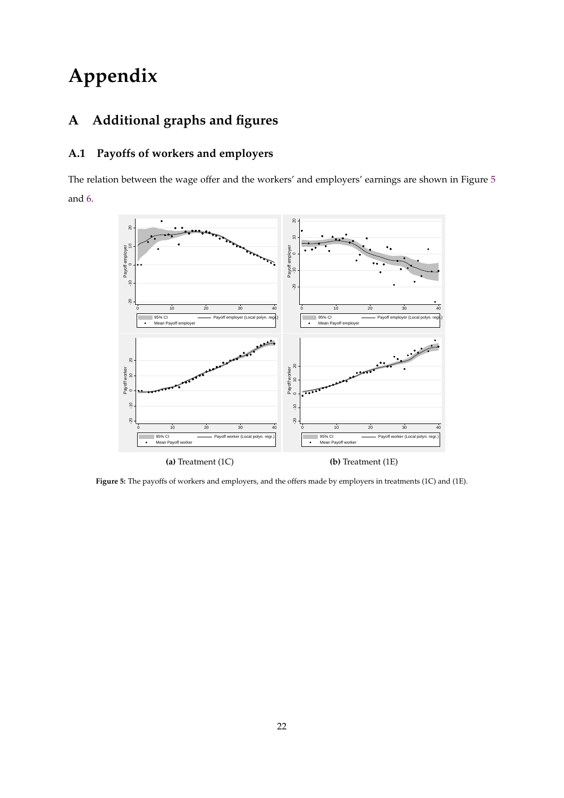# **Appendix**

# **A Additional graphs and figures**

# **A.1 Payoffs of workers and employers**

<span id="page-24-0"></span>The relation between the wage offer and the workers' and employers' earnings are shown in Figure [5](#page-24-0) and [6.](#page-25-0)



**Figure 5:** The payoffs of workers and employers, and the offers made by employers in treatments (1C) and (1E).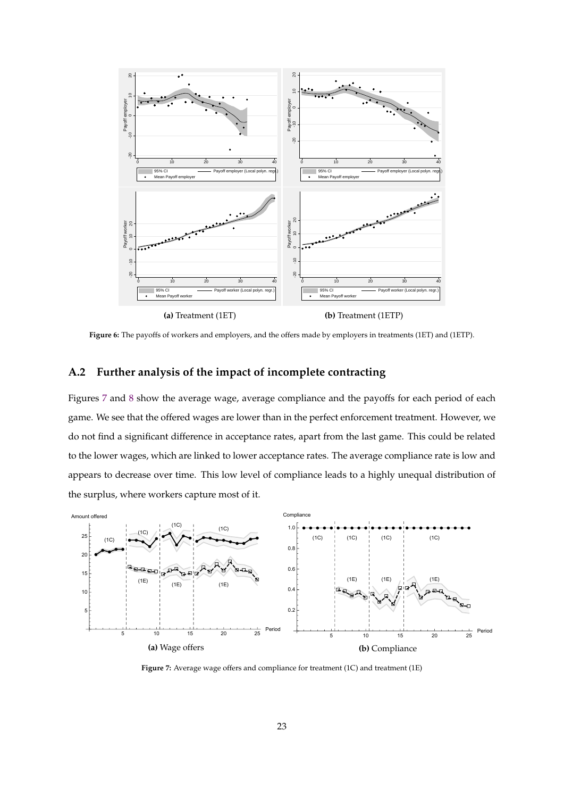<span id="page-25-0"></span>

**Figure 6:** The payoffs of workers and employers, and the offers made by employers in treatments (1ET) and (1ETP).

## **A.2 Further analysis of the impact of incomplete contracting**

Figures [7](#page-25-1) and [8](#page-26-0) show the average wage, average compliance and the payoffs for each period of each game. We see that the offered wages are lower than in the perfect enforcement treatment. However, we do not find a significant difference in acceptance rates, apart from the last game. This could be related to the lower wages, which are linked to lower acceptance rates. The average compliance rate is low and appears to decrease over time. This low level of compliance leads to a highly unequal distribution of the surplus, where workers capture most of it.

<span id="page-25-1"></span>

**Figure 7:** Average wage offers and compliance for treatment (1C) and treatment (1E)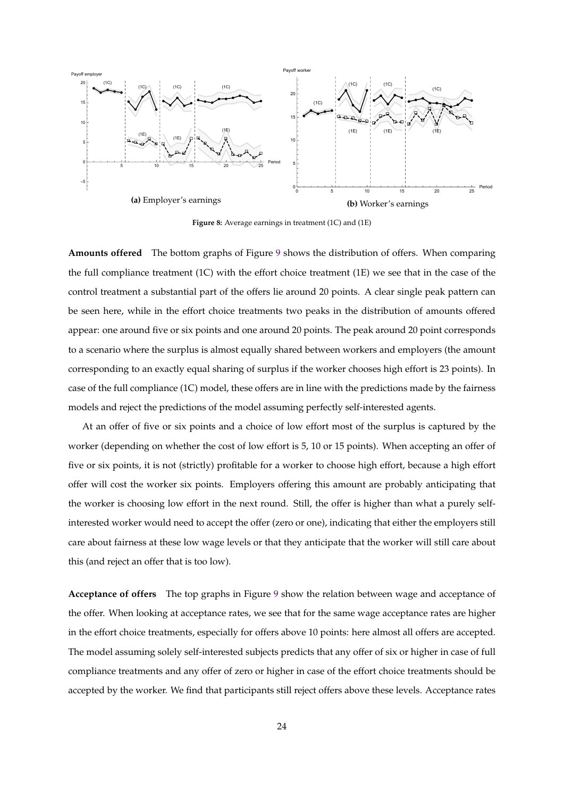<span id="page-26-0"></span>

**Figure 8:** Average earnings in treatment (1C) and (1E)

**Amounts offered** The bottom graphs of Figure [9](#page-28-0) shows the distribution of offers. When comparing the full compliance treatment (1C) with the effort choice treatment (1E) we see that in the case of the control treatment a substantial part of the offers lie around 20 points. A clear single peak pattern can be seen here, while in the effort choice treatments two peaks in the distribution of amounts offered appear: one around five or six points and one around 20 points. The peak around 20 point corresponds to a scenario where the surplus is almost equally shared between workers and employers (the amount corresponding to an exactly equal sharing of surplus if the worker chooses high effort is 23 points). In case of the full compliance (1C) model, these offers are in line with the predictions made by the fairness models and reject the predictions of the model assuming perfectly self-interested agents.

At an offer of five or six points and a choice of low effort most of the surplus is captured by the worker (depending on whether the cost of low effort is 5, 10 or 15 points). When accepting an offer of five or six points, it is not (strictly) profitable for a worker to choose high effort, because a high effort offer will cost the worker six points. Employers offering this amount are probably anticipating that the worker is choosing low effort in the next round. Still, the offer is higher than what a purely selfinterested worker would need to accept the offer (zero or one), indicating that either the employers still care about fairness at these low wage levels or that they anticipate that the worker will still care about this (and reject an offer that is too low).

**Acceptance of offers** The top graphs in Figure [9](#page-28-0) show the relation between wage and acceptance of the offer. When looking at acceptance rates, we see that for the same wage acceptance rates are higher in the effort choice treatments, especially for offers above 10 points: here almost all offers are accepted. The model assuming solely self-interested subjects predicts that any offer of six or higher in case of full compliance treatments and any offer of zero or higher in case of the effort choice treatments should be accepted by the worker. We find that participants still reject offers above these levels. Acceptance rates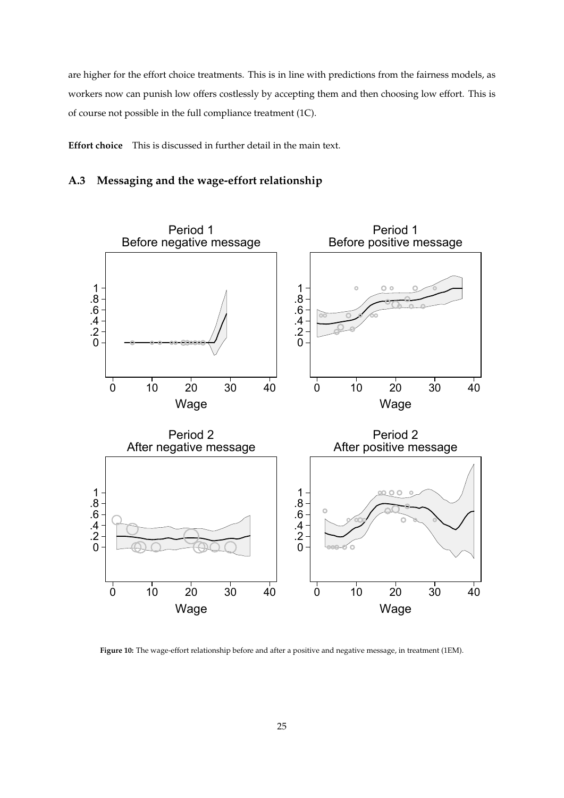are higher for the effort choice treatments. This is in line with predictions from the fairness models, as workers now can punish low offers costlessly by accepting them and then choosing low effort. This is of course not possible in the full compliance treatment (1C).

**Effort choice** This is discussed in further detail in the main text.

## **A.3 Messaging and the wage-effort relationship**



**Figure 10:** The wage-effort relationship before and after a positive and negative message, in treatment (1EM).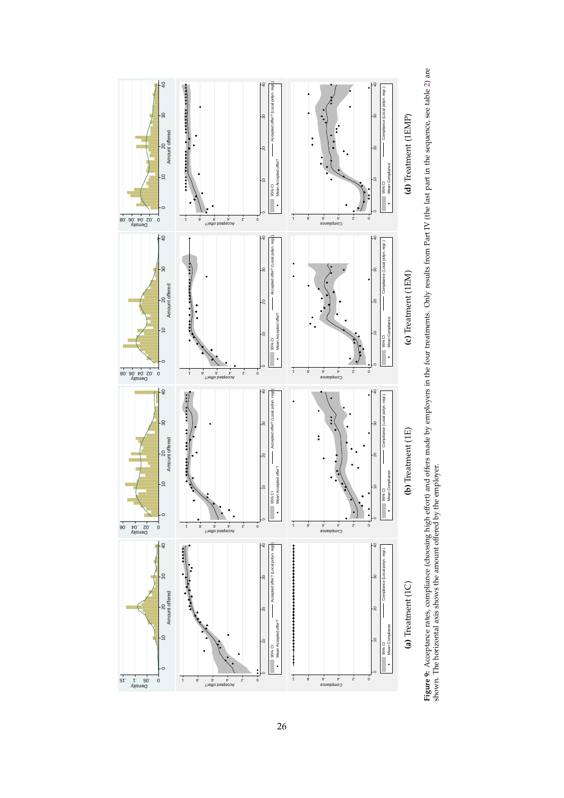<span id="page-28-0"></span>

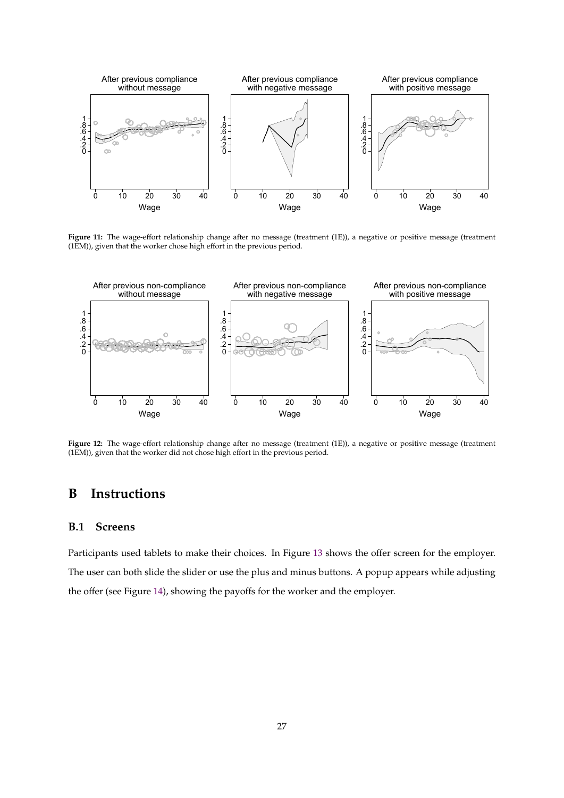

Figure 11: The wage-effort relationship change after no message (treatment (1E)), a negative or positive message (treatment (1EM)), given that the worker chose high effort in the previous period.



**Figure 12:** The wage-effort relationship change after no message (treatment (1E)), a negative or positive message (treatment (1EM)), given that the worker did not chose high effort in the previous period.

# **B Instructions**

### **B.1 Screens**

Participants used tablets to make their choices. In Figure [13](#page-30-0) shows the offer screen for the employer. The user can both slide the slider or use the plus and minus buttons. A popup appears while adjusting the offer (see Figure [14\)](#page-30-1), showing the payoffs for the worker and the employer.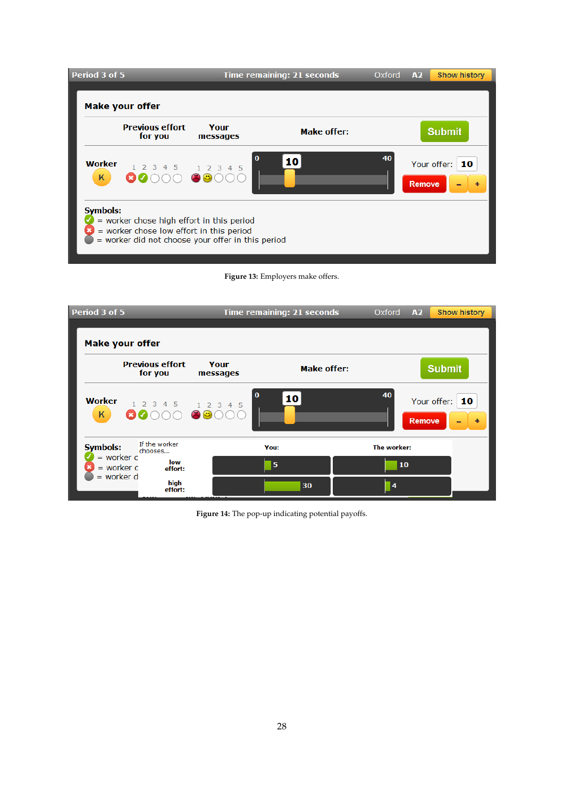<span id="page-30-0"></span>

| Period 3 of 5      |                                                                                                                                                               |                  | <b>Time remaining: 21 seconds</b> | Oxford | A2            | <b>Show history</b> |  |  |  |  |
|--------------------|---------------------------------------------------------------------------------------------------------------------------------------------------------------|------------------|-----------------------------------|--------|---------------|---------------------|--|--|--|--|
|                    | <b>Make your offer</b>                                                                                                                                        |                  |                                   |        |               |                     |  |  |  |  |
|                    | <b>Previous effort</b><br>for you                                                                                                                             | Your<br>messages | <b>Make offer:</b>                |        |               | <b>Submit</b>       |  |  |  |  |
| <b>Worker</b><br>K | 1 2 3 4 5                                                                                                                                                     | 1 2 3 4 5<br>(C) | $\bf{0}$<br>10                    | 40     | <b>Remove</b> | Your offer:<br>10   |  |  |  |  |
|                    | <b>Symbols:</b><br>= worker chose high effort in this period<br>= worker chose low effort in this period<br>= worker did not choose your offer in this period |                  |                                   |        |               |                     |  |  |  |  |

**Figure 13:** Employers make offers.

<span id="page-30-1"></span>

**Figure 14:** The pop-up indicating potential payoffs.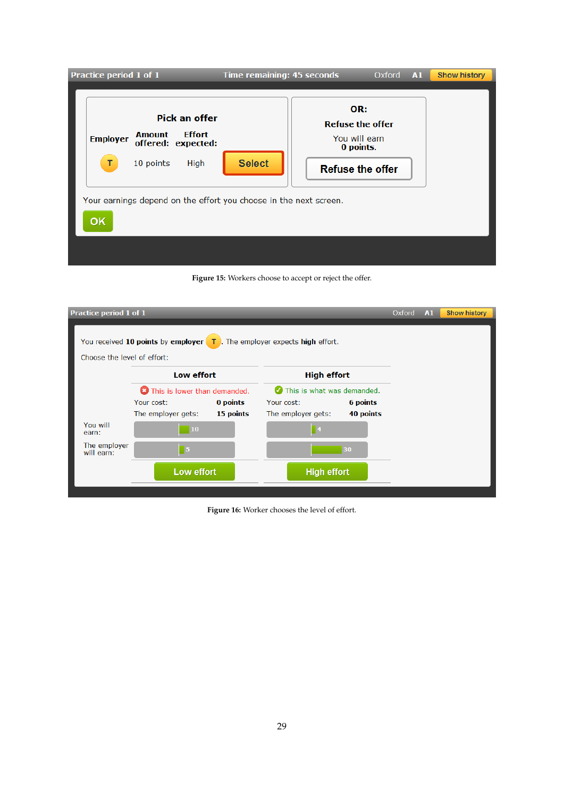| Practice period 1 of 1                                                                                               | <b>Time remaining: 45 seconds</b> | $Oxford$ $A1$                                                                           | <b>Show history</b> |
|----------------------------------------------------------------------------------------------------------------------|-----------------------------------|-----------------------------------------------------------------------------------------|---------------------|
| <b>Pick an offer</b><br><b>Effort</b><br><b>Amount</b><br><b>Employer</b><br>offered: expected:<br>10 points<br>High | <b>Select</b>                     | OR:<br><b>Refuse the offer</b><br>You will earn<br>0 points.<br><b>Refuse the offer</b> |                     |
| Your earnings depend on the effort you choose in the next screen.<br><b>OK</b>                                       |                                   |                                                                                         |                     |



| Practice period 1 of 1                                                                                            |                                       |           |                    |                            | Oxford | A1 | <b>Show history</b> |
|-------------------------------------------------------------------------------------------------------------------|---------------------------------------|-----------|--------------------|----------------------------|--------|----|---------------------|
| You received 10 points by employer $\boxed{7}$ . The employer expects high effort.<br>Choose the level of effort: |                                       |           |                    |                            |        |    |                     |
|                                                                                                                   | Low effort                            |           |                    | <b>High effort</b>         |        |    |                     |
|                                                                                                                   | <b>C</b> This is lower than demanded. |           |                    | This is what was demanded. |        |    |                     |
|                                                                                                                   | Your cost:                            | 0 points  | Your cost:         | 6 points                   |        |    |                     |
|                                                                                                                   | The employer gets:                    | 15 points | The employer gets: | 40 points                  |        |    |                     |
| You will<br>earn:                                                                                                 | 10                                    |           | $\blacksquare$     |                            |        |    |                     |
| The employer<br>will earn:                                                                                        | $\blacksquare$ 5                      |           |                    | 30                         |        |    |                     |
|                                                                                                                   | Low effort                            |           | <b>High effort</b> |                            |        |    |                     |
|                                                                                                                   |                                       |           |                    |                            |        |    |                     |

**Figure 16:** Worker chooses the level of effort.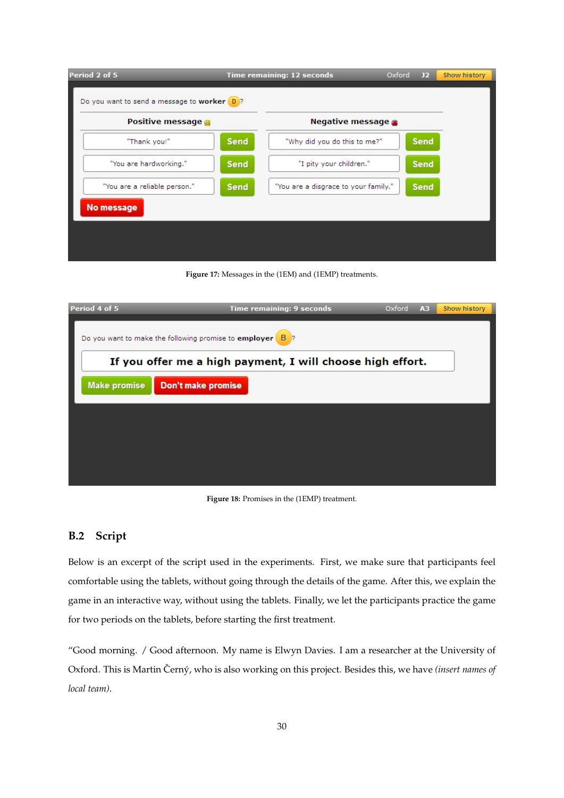| Positive message @           |             | Negative message                     |      |
|------------------------------|-------------|--------------------------------------|------|
| "Thank you!"                 | <b>Send</b> | "Why did you do this to me?"         | Send |
| "You are hardworking."       | <b>Send</b> | "I pity your children."              | Send |
| "You are a reliable person." | <b>Send</b> | "You are a disgrace to your family." | Send |

**Figure 17:** Messages in the (1EM) and (1EMP) treatments.

| Period 4 of 5                                              | Time remaining: 9 seconds                                                                                 | A <sub>3</sub><br>Oxford | Show history |  |  |
|------------------------------------------------------------|-----------------------------------------------------------------------------------------------------------|--------------------------|--------------|--|--|
|                                                            | Do you want to make the following promise to employer $\begin{array}{ c c c c c }\n\hline\n\end{array}$ ? |                          |              |  |  |
| If you offer me a high payment, I will choose high effort. |                                                                                                           |                          |              |  |  |
| <b>Make promise</b>                                        | Don't make promise                                                                                        |                          |              |  |  |
|                                                            |                                                                                                           |                          |              |  |  |
|                                                            |                                                                                                           |                          |              |  |  |
|                                                            |                                                                                                           |                          |              |  |  |
|                                                            |                                                                                                           |                          |              |  |  |

**Figure 18:** Promises in the (1EMP) treatment.

# **B.2 Script**

Below is an excerpt of the script used in the experiments. First, we make sure that participants feel comfortable using the tablets, without going through the details of the game. After this, we explain the game in an interactive way, without using the tablets. Finally, we let the participants practice the game for two periods on the tablets, before starting the first treatment.

"Good morning. / Good afternoon. My name is Elwyn Davies. I am a researcher at the University of Oxford. This is Martin Černý, who is also working on this project. Besides this, we have (insert names of *local team)*.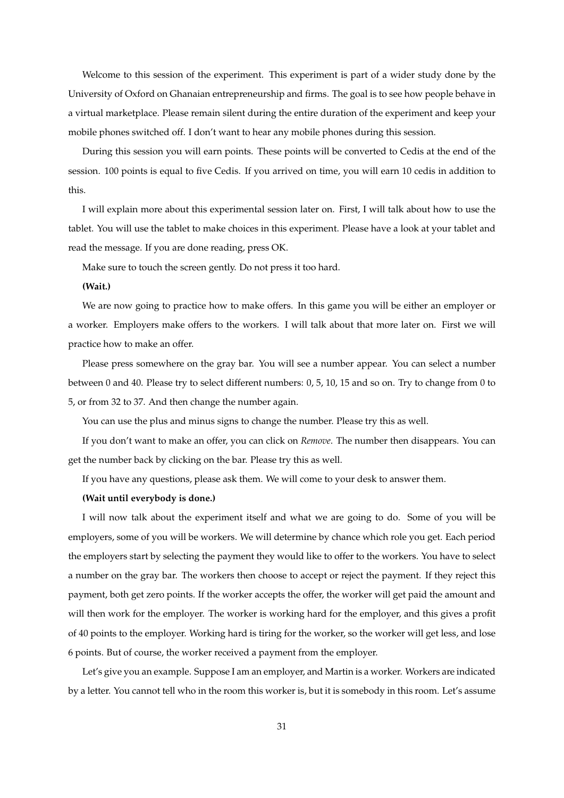Welcome to this session of the experiment. This experiment is part of a wider study done by the University of Oxford on Ghanaian entrepreneurship and firms. The goal is to see how people behave in a virtual marketplace. Please remain silent during the entire duration of the experiment and keep your mobile phones switched off. I don't want to hear any mobile phones during this session.

During this session you will earn points. These points will be converted to Cedis at the end of the session. 100 points is equal to five Cedis. If you arrived on time, you will earn 10 cedis in addition to this.

I will explain more about this experimental session later on. First, I will talk about how to use the tablet. You will use the tablet to make choices in this experiment. Please have a look at your tablet and read the message. If you are done reading, press OK.

Make sure to touch the screen gently. Do not press it too hard.

### **(Wait.)**

We are now going to practice how to make offers. In this game you will be either an employer or a worker. Employers make offers to the workers. I will talk about that more later on. First we will practice how to make an offer.

Please press somewhere on the gray bar. You will see a number appear. You can select a number between 0 and 40. Please try to select different numbers: 0, 5, 10, 15 and so on. Try to change from 0 to 5, or from 32 to 37. And then change the number again.

You can use the plus and minus signs to change the number. Please try this as well.

If you don't want to make an offer, you can click on *Remove*. The number then disappears. You can get the number back by clicking on the bar. Please try this as well.

If you have any questions, please ask them. We will come to your desk to answer them.

### **(Wait until everybody is done.)**

I will now talk about the experiment itself and what we are going to do. Some of you will be employers, some of you will be workers. We will determine by chance which role you get. Each period the employers start by selecting the payment they would like to offer to the workers. You have to select a number on the gray bar. The workers then choose to accept or reject the payment. If they reject this payment, both get zero points. If the worker accepts the offer, the worker will get paid the amount and will then work for the employer. The worker is working hard for the employer, and this gives a profit of 40 points to the employer. Working hard is tiring for the worker, so the worker will get less, and lose 6 points. But of course, the worker received a payment from the employer.

Let's give you an example. Suppose I am an employer, and Martin is a worker. Workers are indicated by a letter. You cannot tell who in the room this worker is, but it is somebody in this room. Let's assume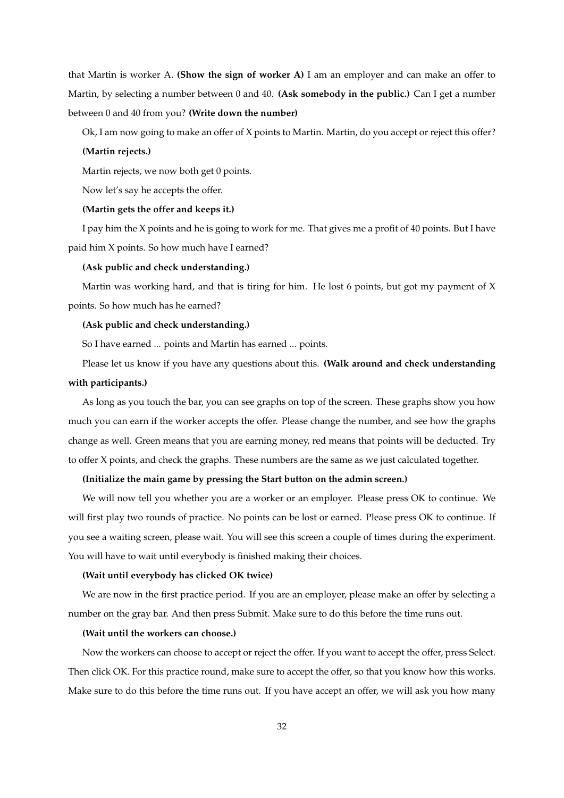that Martin is worker A. **(Show the sign of worker A)** I am an employer and can make an offer to Martin, by selecting a number between 0 and 40. **(Ask somebody in the public.)** Can I get a number between 0 and 40 from you? **(Write down the number)**

Ok, I am now going to make an offer of X points to Martin. Martin, do you accept or reject this offer?

#### **(Martin rejects.)**

Martin rejects, we now both get 0 points.

Now let's say he accepts the offer.

#### **(Martin gets the offer and keeps it.)**

I pay him the X points and he is going to work for me. That gives me a profit of 40 points. But I have paid him X points. So how much have I earned?

### **(Ask public and check understanding.)**

Martin was working hard, and that is tiring for him. He lost 6 points, but got my payment of X points. So how much has he earned?

#### **(Ask public and check understanding.)**

So I have earned ... points and Martin has earned ... points.

Please let us know if you have any questions about this. **(Walk around and check understanding**

### **with participants.)**

As long as you touch the bar, you can see graphs on top of the screen. These graphs show you how much you can earn if the worker accepts the offer. Please change the number, and see how the graphs change as well. Green means that you are earning money, red means that points will be deducted. Try to offer X points, and check the graphs. These numbers are the same as we just calculated together.

#### **(Initialize the main game by pressing the Start button on the admin screen.)**

We will now tell you whether you are a worker or an employer. Please press OK to continue. We will first play two rounds of practice. No points can be lost or earned. Please press OK to continue. If you see a waiting screen, please wait. You will see this screen a couple of times during the experiment. You will have to wait until everybody is finished making their choices.

### **(Wait until everybody has clicked OK twice)**

We are now in the first practice period. If you are an employer, please make an offer by selecting a number on the gray bar. And then press Submit. Make sure to do this before the time runs out.

### **(Wait until the workers can choose.)**

Now the workers can choose to accept or reject the offer. If you want to accept the offer, press Select. Then click OK. For this practice round, make sure to accept the offer, so that you know how this works. Make sure to do this before the time runs out. If you have accept an offer, we will ask you how many